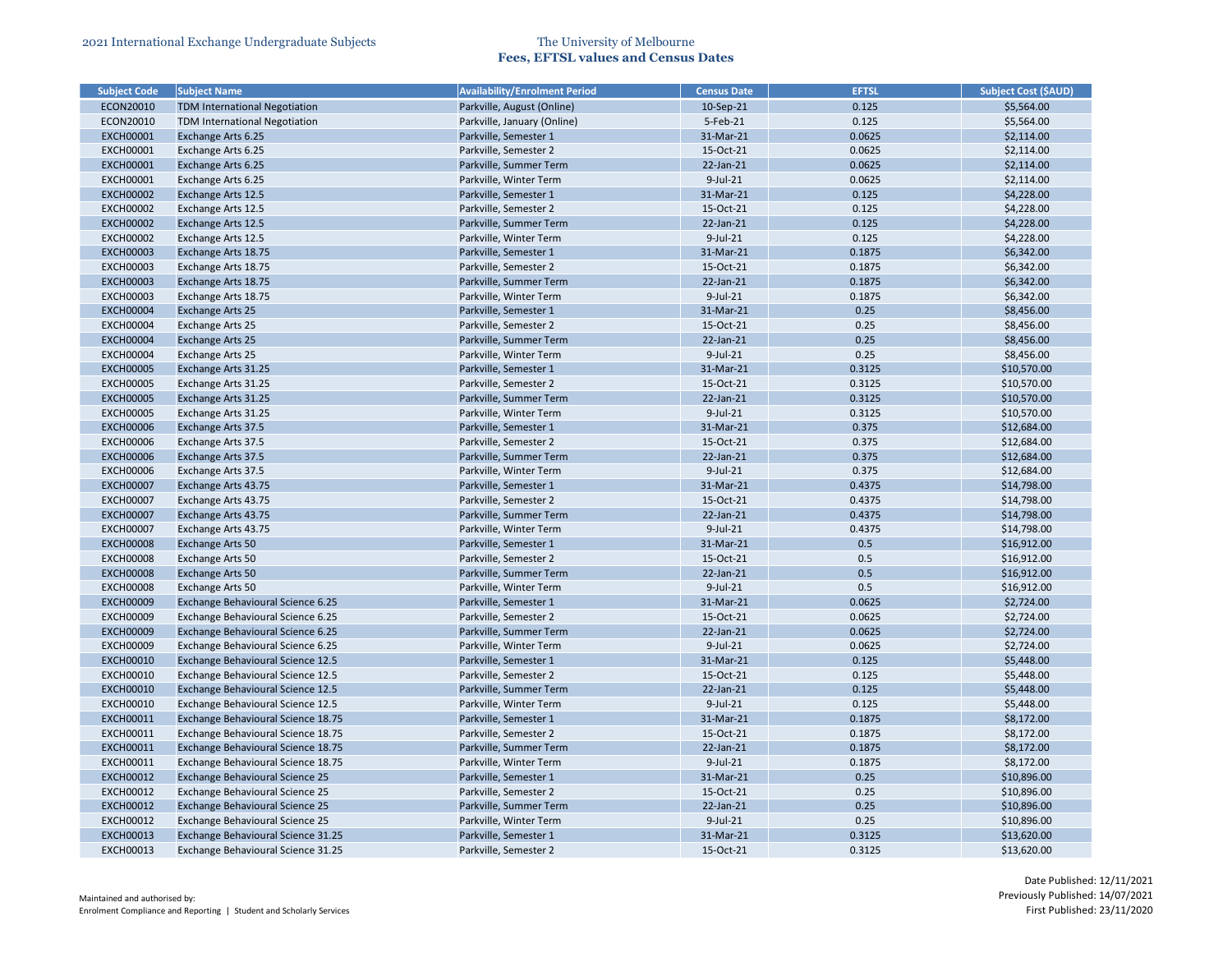| <b>Subject Code</b> | <b>Subject Name</b>                                          | <b>Availability/Enrolment Period</b> | <b>Census Date</b> | <b>EFTSL</b> | <b>Subject Cost (\$AUD)</b> |
|---------------------|--------------------------------------------------------------|--------------------------------------|--------------------|--------------|-----------------------------|
| ECON20010           | <b>TDM International Negotiation</b>                         | Parkville, August (Online)           | 10-Sep-21          | 0.125        | \$5,564.00                  |
| ECON20010           | <b>TDM International Negotiation</b>                         | Parkville, January (Online)          | 5-Feb-21           | 0.125        | \$5,564.00                  |
| <b>EXCH00001</b>    | <b>Exchange Arts 6.25</b>                                    | Parkville, Semester 1                | 31-Mar-21          | 0.0625       | \$2,114.00                  |
| <b>EXCH00001</b>    | Exchange Arts 6.25                                           | Parkville, Semester 2                | 15-Oct-21          | 0.0625       | \$2,114.00                  |
| <b>EXCH00001</b>    | Exchange Arts 6.25                                           | Parkville, Summer Term               | 22-Jan-21          | 0.0625       | \$2,114.00                  |
| <b>EXCH00001</b>    | Exchange Arts 6.25                                           | Parkville, Winter Term               | $9$ -Jul-21        | 0.0625       | \$2,114.00                  |
| <b>EXCH00002</b>    | <b>Exchange Arts 12.5</b>                                    | Parkville, Semester 1                | 31-Mar-21          | 0.125        | \$4,228.00                  |
| <b>EXCH00002</b>    | Exchange Arts 12.5                                           | Parkville, Semester 2                | 15-Oct-21          | 0.125        | \$4,228.00                  |
| <b>EXCH00002</b>    | <b>Exchange Arts 12.5</b>                                    | Parkville, Summer Term               | 22-Jan-21          | 0.125        | \$4,228.00                  |
| <b>EXCH00002</b>    | Exchange Arts 12.5                                           | Parkville, Winter Term               | $9$ -Jul-21        | 0.125        | \$4,228.00                  |
| <b>EXCH00003</b>    | Exchange Arts 18.75                                          | Parkville, Semester 1                | 31-Mar-21          | 0.1875       | \$6,342.00                  |
| <b>EXCH00003</b>    | Exchange Arts 18.75                                          | Parkville, Semester 2                | 15-Oct-21          | 0.1875       | \$6,342.00                  |
| <b>EXCH00003</b>    | Exchange Arts 18.75                                          | Parkville, Summer Term               | 22-Jan-21          | 0.1875       | \$6,342.00                  |
| <b>EXCH00003</b>    | Exchange Arts 18.75                                          | Parkville, Winter Term               | 9-Jul-21           | 0.1875       | \$6,342.00                  |
| <b>EXCH00004</b>    | <b>Exchange Arts 25</b>                                      | Parkville, Semester 1                | 31-Mar-21          | 0.25         | \$8,456.00                  |
| <b>EXCH00004</b>    | Exchange Arts 25                                             | Parkville, Semester 2                | 15-Oct-21          | 0.25         | \$8,456.00                  |
| <b>EXCH00004</b>    | <b>Exchange Arts 25</b>                                      | Parkville, Summer Term               | 22-Jan-21          | 0.25         | \$8,456.00                  |
| <b>EXCH00004</b>    | <b>Exchange Arts 25</b>                                      | Parkville, Winter Term               | $9$ -Jul-21        | 0.25         | \$8,456.00                  |
| <b>EXCH00005</b>    | Exchange Arts 31.25                                          | Parkville, Semester 1                | 31-Mar-21          | 0.3125       | \$10,570.00                 |
| <b>EXCH00005</b>    | Exchange Arts 31.25                                          | Parkville, Semester 2                | 15-Oct-21          | 0.3125       | \$10,570.00                 |
| <b>EXCH00005</b>    | Exchange Arts 31.25                                          | Parkville, Summer Term               | 22-Jan-21          | 0.3125       | \$10,570.00                 |
| <b>EXCH00005</b>    | Exchange Arts 31.25                                          | Parkville, Winter Term               | 9-Jul-21           | 0.3125       | \$10,570.00                 |
| <b>EXCH00006</b>    | <b>Exchange Arts 37.5</b>                                    | Parkville, Semester 1                | 31-Mar-21          | 0.375        | \$12,684.00                 |
| <b>EXCH00006</b>    | Exchange Arts 37.5                                           | Parkville, Semester 2                | 15-Oct-21          | 0.375        | \$12,684.00                 |
| <b>EXCH00006</b>    | <b>Exchange Arts 37.5</b>                                    | Parkville, Summer Term               | 22-Jan-21          | 0.375        | \$12,684.00                 |
| <b>EXCH00006</b>    | Exchange Arts 37.5                                           | Parkville, Winter Term               | $9$ -Jul-21        | 0.375        | \$12,684.00                 |
| <b>EXCH00007</b>    | Exchange Arts 43.75                                          | Parkville, Semester 1                | 31-Mar-21          | 0.4375       | \$14,798.00                 |
| <b>EXCH00007</b>    | Exchange Arts 43.75                                          | Parkville, Semester 2                | 15-Oct-21          | 0.4375       | \$14,798.00                 |
| <b>EXCH00007</b>    | Exchange Arts 43.75                                          | Parkville, Summer Term               | 22-Jan-21          | 0.4375       | \$14,798.00                 |
| <b>EXCH00007</b>    | Exchange Arts 43.75                                          | Parkville, Winter Term               | 9-Jul-21           | 0.4375       | \$14,798.00                 |
| <b>EXCH00008</b>    | Exchange Arts 50                                             | Parkville, Semester 1                | 31-Mar-21          | 0.5          | \$16,912.00                 |
| <b>EXCH00008</b>    | Exchange Arts 50                                             | Parkville, Semester 2                | 15-Oct-21          | 0.5          | \$16,912.00                 |
| <b>EXCH00008</b>    | Exchange Arts 50                                             | Parkville, Summer Term               | 22-Jan-21          | 0.5          | \$16,912.00                 |
| <b>EXCH00008</b>    |                                                              | Parkville, Winter Term               | $9$ -Jul-21        | 0.5          | \$16,912.00                 |
| <b>EXCH00009</b>    | <b>Exchange Arts 50</b><br>Exchange Behavioural Science 6.25 | Parkville, Semester 1                | 31-Mar-21          | 0.0625       |                             |
| <b>EXCH00009</b>    | Exchange Behavioural Science 6.25                            | Parkville, Semester 2                | 15-Oct-21          | 0.0625       | \$2,724.00                  |
|                     |                                                              |                                      | 22-Jan-21          |              | \$2,724.00                  |
| <b>EXCH00009</b>    | Exchange Behavioural Science 6.25                            | Parkville, Summer Term               |                    | 0.0625       | \$2,724.00                  |
| <b>EXCH00009</b>    | Exchange Behavioural Science 6.25                            | Parkville, Winter Term               | $9$ -Jul-21        | 0.0625       | \$2,724.00                  |
| <b>EXCH00010</b>    | Exchange Behavioural Science 12.5                            | Parkville, Semester 1                | 31-Mar-21          | 0.125        | \$5,448.00                  |
| <b>EXCH00010</b>    | Exchange Behavioural Science 12.5                            | Parkville, Semester 2                | 15-Oct-21          | 0.125        | \$5,448.00                  |
| <b>EXCH00010</b>    | Exchange Behavioural Science 12.5                            | Parkville, Summer Term               | 22-Jan-21          | 0.125        | \$5,448.00                  |
| <b>EXCH00010</b>    | Exchange Behavioural Science 12.5                            | Parkville, Winter Term               | 9-Jul-21           | 0.125        | \$5,448.00                  |
| <b>EXCH00011</b>    | Exchange Behavioural Science 18.75                           | Parkville, Semester 1                | 31-Mar-21          | 0.1875       | \$8,172.00                  |
| <b>EXCH00011</b>    | Exchange Behavioural Science 18.75                           | Parkville, Semester 2                | 15-Oct-21          | 0.1875       | \$8,172.00                  |
| <b>EXCH00011</b>    | Exchange Behavioural Science 18.75                           | Parkville, Summer Term               | 22-Jan-21          | 0.1875       | \$8,172.00                  |
| <b>EXCH00011</b>    | Exchange Behavioural Science 18.75                           | Parkville, Winter Term               | 9-Jul-21           | 0.1875       | \$8,172.00                  |
| <b>EXCH00012</b>    | <b>Exchange Behavioural Science 25</b>                       | Parkville, Semester 1                | 31-Mar-21          | 0.25         | \$10,896.00                 |
| <b>EXCH00012</b>    | Exchange Behavioural Science 25                              | Parkville, Semester 2                | 15-Oct-21          | 0.25         | \$10,896.00                 |
| <b>EXCH00012</b>    | Exchange Behavioural Science 25                              | Parkville, Summer Term               | 22-Jan-21          | 0.25         | \$10,896.00                 |
| <b>EXCH00012</b>    | Exchange Behavioural Science 25                              | Parkville, Winter Term               | 9-Jul-21           | 0.25         | \$10,896.00                 |
| <b>EXCH00013</b>    | Exchange Behavioural Science 31.25                           | Parkville, Semester 1                | 31-Mar-21          | 0.3125       | \$13,620.00                 |
| <b>EXCH00013</b>    | Exchange Behavioural Science 31.25                           | Parkville, Semester 2                | 15-Oct-21          | 0.3125       | \$13,620.00                 |

| <b>Subject Cost (\$AUD)</b> |
|-----------------------------|
| \$5,564.00                  |
| \$5,564.00                  |
| \$2,114.00                  |
| \$2,114.00                  |
| \$2,114.00                  |
| \$2,114.00                  |
| \$4,228.00                  |
| \$4,228.00                  |
| \$4,228.00                  |
| \$4,228.00                  |
| \$6,342.00                  |
| \$6,342.00                  |
| \$6,342.00                  |
| \$6,342.00                  |
| \$8,456.00                  |
| \$8,456.00                  |
| \$8,456.00                  |
| \$8,456.00                  |
| \$10,570.00                 |
| \$10,570.00                 |
| \$10,570.00                 |
| \$10,570.00                 |
| \$12,684.00                 |
| \$12,684.00                 |
| \$12,684.00                 |
| \$12,684.00                 |
| \$14,798.00                 |
| \$14,798.00                 |
| \$14,798.00                 |
| \$14,798.00                 |
| \$16,912.00                 |
| \$16,912.00                 |
| \$16,912.00                 |
| \$16,912.00                 |
| \$2,724.00                  |
| \$2,724.00                  |
| \$2,724.00                  |
| \$2,724.00                  |
| \$5,448.00                  |
| \$5,448.00                  |
| \$5,448.00                  |
| \$5,448.00                  |
| \$8,172.00                  |
| \$8,172.00                  |
| \$8,172.00                  |
| \$8,172.00                  |
| \$10,896.00                 |
| \$10,896.00                 |
| \$10,896.00                 |
| \$10,896.00                 |
| \$13,620.00                 |
| \$13,620.00                 |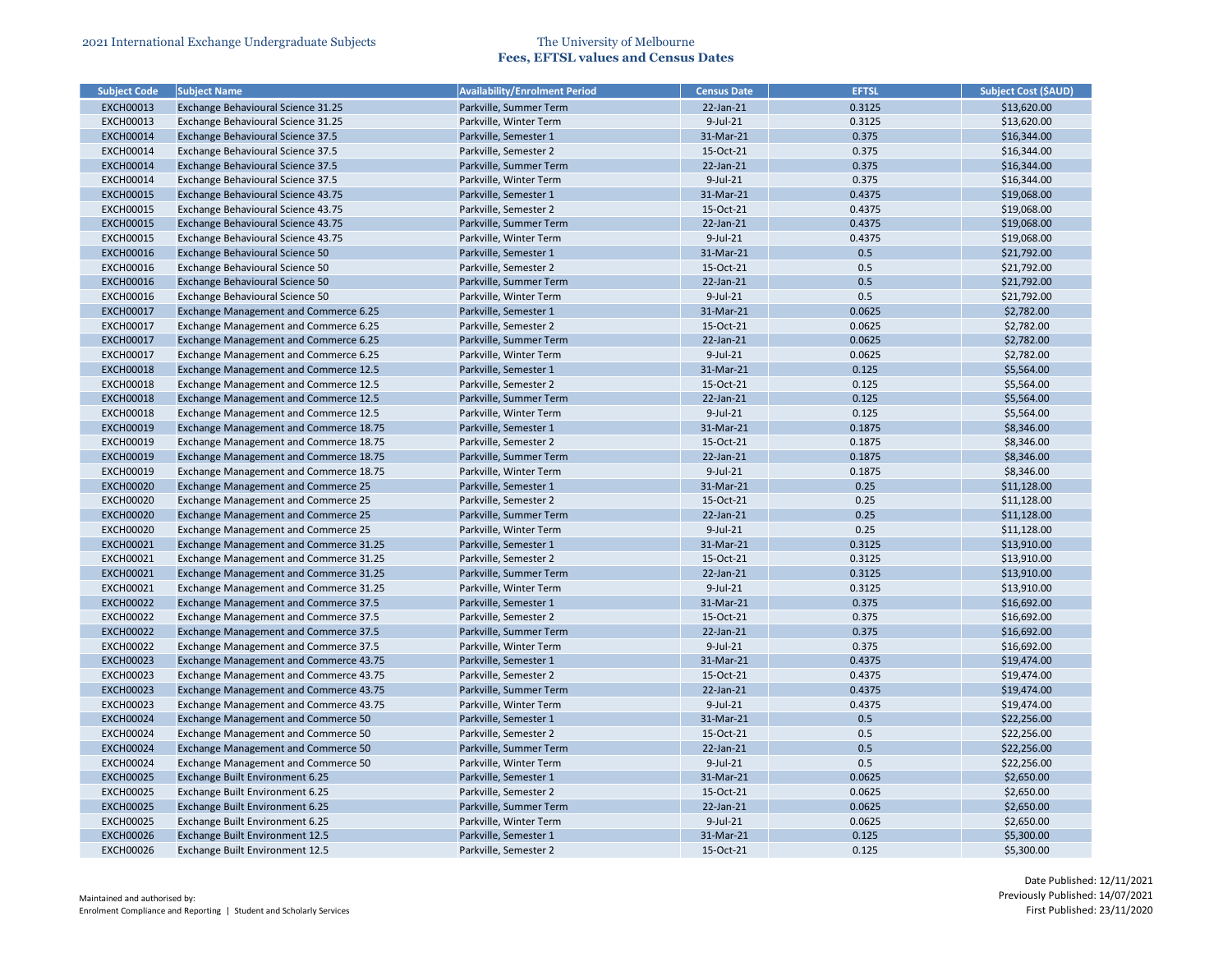|                  | <b>Subject Code</b> | <b>Subject Name</b>                        | <b>Availability/Enrolment Period</b> | <b>Census Date</b> | <b>EFTSL</b> | <b>Subject Cost (\$AUD)</b> |
|------------------|---------------------|--------------------------------------------|--------------------------------------|--------------------|--------------|-----------------------------|
| <b>EXCH00013</b> |                     | Exchange Behavioural Science 31.25         | Parkville, Summer Term               | 22-Jan-21          | 0.3125       | \$13,620.00                 |
| <b>EXCH00013</b> |                     | Exchange Behavioural Science 31.25         | Parkville, Winter Term               | $9$ -Jul-21        | 0.3125       | \$13,620.00                 |
| <b>EXCH00014</b> |                     | Exchange Behavioural Science 37.5          | Parkville, Semester 1                | 31-Mar-21          | 0.375        | \$16,344.00                 |
| <b>EXCH00014</b> |                     | Exchange Behavioural Science 37.5          | Parkville, Semester 2                | 15-Oct-21          | 0.375        | \$16,344.00                 |
| <b>EXCH00014</b> |                     | Exchange Behavioural Science 37.5          | Parkville, Summer Term               | 22-Jan-21          | 0.375        | \$16,344.00                 |
| <b>EXCH00014</b> |                     | Exchange Behavioural Science 37.5          | Parkville, Winter Term               | 9-Jul-21           | 0.375        | \$16,344.00                 |
| <b>EXCH00015</b> |                     | Exchange Behavioural Science 43.75         | Parkville, Semester 1                | 31-Mar-21          | 0.4375       | \$19,068.00                 |
| <b>EXCH00015</b> |                     | Exchange Behavioural Science 43.75         | Parkville, Semester 2                | 15-Oct-21          | 0.4375       | \$19,068.00                 |
| <b>EXCH00015</b> |                     | Exchange Behavioural Science 43.75         | Parkville, Summer Term               | 22-Jan-21          | 0.4375       | \$19,068.00                 |
| <b>EXCH00015</b> |                     | Exchange Behavioural Science 43.75         | Parkville, Winter Term               | $9$ -Jul-21        | 0.4375       | \$19,068.00                 |
| <b>EXCH00016</b> |                     | Exchange Behavioural Science 50            | Parkville, Semester 1                | 31-Mar-21          | 0.5          | \$21,792.00                 |
| <b>EXCH00016</b> |                     | Exchange Behavioural Science 50            | Parkville, Semester 2                | 15-Oct-21          | 0.5          | \$21,792.00                 |
| <b>EXCH00016</b> |                     | Exchange Behavioural Science 50            | Parkville, Summer Term               | 22-Jan-21          | 0.5          | \$21,792.00                 |
| <b>EXCH00016</b> |                     | Exchange Behavioural Science 50            | Parkville, Winter Term               | 9-Jul-21           | 0.5          | \$21,792.00                 |
| <b>EXCH00017</b> |                     | Exchange Management and Commerce 6.25      | Parkville, Semester 1                | 31-Mar-21          | 0.0625       | \$2,782.00                  |
| <b>EXCH00017</b> |                     | Exchange Management and Commerce 6.25      | Parkville, Semester 2                | 15-Oct-21          | 0.0625       | \$2,782.00                  |
| <b>EXCH00017</b> |                     | Exchange Management and Commerce 6.25      | Parkville, Summer Term               | 22-Jan-21          | 0.0625       | \$2,782.00                  |
| <b>EXCH00017</b> |                     | Exchange Management and Commerce 6.25      | Parkville, Winter Term               | $9$ -Jul-21        | 0.0625       | \$2,782.00                  |
| <b>EXCH00018</b> |                     | Exchange Management and Commerce 12.5      | Parkville, Semester 1                | 31-Mar-21          | 0.125        | \$5,564.00                  |
| <b>EXCH00018</b> |                     | Exchange Management and Commerce 12.5      | Parkville, Semester 2                | 15-Oct-21          | 0.125        | \$5,564.00                  |
| <b>EXCH00018</b> |                     | Exchange Management and Commerce 12.5      | Parkville, Summer Term               | 22-Jan-21          | 0.125        | \$5,564.00                  |
| <b>EXCH00018</b> |                     | Exchange Management and Commerce 12.5      | Parkville, Winter Term               | 9-Jul-21           | 0.125        | \$5,564.00                  |
| <b>EXCH00019</b> |                     | Exchange Management and Commerce 18.75     | Parkville, Semester 1                | 31-Mar-21          | 0.1875       | \$8,346.00                  |
| <b>EXCH00019</b> |                     | Exchange Management and Commerce 18.75     | Parkville, Semester 2                | 15-Oct-21          | 0.1875       | \$8,346.00                  |
| <b>EXCH00019</b> |                     | Exchange Management and Commerce 18.75     | Parkville, Summer Term               | 22-Jan-21          | 0.1875       | \$8,346.00                  |
| <b>EXCH00019</b> |                     | Exchange Management and Commerce 18.75     | Parkville, Winter Term               | $9$ -Jul-21        | 0.1875       | \$8,346.00                  |
| <b>EXCH00020</b> |                     | Exchange Management and Commerce 25        | Parkville, Semester 1                | 31-Mar-21          | 0.25         | \$11,128.00                 |
| <b>EXCH00020</b> |                     | Exchange Management and Commerce 25        | Parkville, Semester 2                | 15-Oct-21          | 0.25         | \$11,128.00                 |
| <b>EXCH00020</b> |                     | Exchange Management and Commerce 25        | Parkville, Summer Term               | 22-Jan-21          | 0.25         | \$11,128.00                 |
| <b>EXCH00020</b> |                     | Exchange Management and Commerce 25        | Parkville, Winter Term               | $9$ -Jul-21        | 0.25         | \$11,128.00                 |
| <b>EXCH00021</b> |                     | Exchange Management and Commerce 31.25     | Parkville, Semester 1                | 31-Mar-21          | 0.3125       | \$13,910.00                 |
| <b>EXCH00021</b> |                     | Exchange Management and Commerce 31.25     | Parkville, Semester 2                | 15-Oct-21          | 0.3125       | \$13,910.00                 |
| <b>EXCH00021</b> |                     | Exchange Management and Commerce 31.25     | Parkville, Summer Term               | 22-Jan-21          | 0.3125       | \$13,910.00                 |
| <b>EXCH00021</b> |                     | Exchange Management and Commerce 31.25     | Parkville, Winter Term               | $9$ -Jul-21        | 0.3125       | \$13,910.00                 |
| <b>EXCH00022</b> |                     | Exchange Management and Commerce 37.5      | Parkville, Semester 1                | 31-Mar-21          | 0.375        | \$16,692.00                 |
| <b>EXCH00022</b> |                     | Exchange Management and Commerce 37.5      | Parkville, Semester 2                | 15-Oct-21          | 0.375        | \$16,692.00                 |
| <b>EXCH00022</b> |                     | Exchange Management and Commerce 37.5      | Parkville, Summer Term               | 22-Jan-21          | 0.375        | \$16,692.00                 |
| <b>EXCH00022</b> |                     | Exchange Management and Commerce 37.5      | Parkville, Winter Term               | $9$ -Jul-21        | 0.375        | \$16,692.00                 |
| <b>EXCH00023</b> |                     | Exchange Management and Commerce 43.75     | Parkville, Semester 1                | 31-Mar-21          | 0.4375       | \$19,474.00                 |
| <b>EXCH00023</b> |                     | Exchange Management and Commerce 43.75     | Parkville, Semester 2                | 15-Oct-21          | 0.4375       | \$19,474.00                 |
| <b>EXCH00023</b> |                     | Exchange Management and Commerce 43.75     | Parkville, Summer Term               | 22-Jan-21          | 0.4375       | \$19,474.00                 |
| <b>EXCH00023</b> |                     | Exchange Management and Commerce 43.75     | Parkville, Winter Term               | 9-Jul-21           | 0.4375       | \$19,474.00                 |
| <b>EXCH00024</b> |                     | Exchange Management and Commerce 50        | Parkville, Semester 1                | 31-Mar-21          | 0.5          | \$22,256.00                 |
| <b>EXCH00024</b> |                     | Exchange Management and Commerce 50        | Parkville, Semester 2                | 15-Oct-21          | 0.5          | \$22,256.00                 |
| <b>EXCH00024</b> |                     | <b>Exchange Management and Commerce 50</b> | Parkville, Summer Term               | 22-Jan-21          | 0.5          | \$22,256.00                 |
| <b>EXCH00024</b> |                     | Exchange Management and Commerce 50        | Parkville, Winter Term               | 9-Jul-21           | 0.5          | \$22,256.00                 |
| <b>EXCH00025</b> |                     | Exchange Built Environment 6.25            | Parkville, Semester 1                | 31-Mar-21          | 0.0625       | \$2,650.00                  |
| <b>EXCH00025</b> |                     | Exchange Built Environment 6.25            | Parkville, Semester 2                | 15-Oct-21          | 0.0625       | \$2,650.00                  |
| <b>EXCH00025</b> |                     | Exchange Built Environment 6.25            | Parkville, Summer Term               | 22-Jan-21          | 0.0625       | \$2,650.00                  |
| <b>EXCH00025</b> |                     | Exchange Built Environment 6.25            | Parkville, Winter Term               | 9-Jul-21           | 0.0625       | \$2,650.00                  |
| <b>EXCH00026</b> |                     | Exchange Built Environment 12.5            | Parkville, Semester 1                | 31-Mar-21          | 0.125        | \$5,300.00                  |
|                  | <b>EXCH00026</b>    | Exchange Built Environment 12.5            | Parkville, Semester 2                | 15-Oct-21          | 0.125        | \$5,300.00                  |
|                  |                     |                                            |                                      |                    |              |                             |

| <b>Subject Cost (\$AUD)</b> |
|-----------------------------|
| \$13,620.00                 |
| \$13,620.00                 |
| \$16,344.00                 |
| \$16,344.00                 |
| \$16,344.00                 |
| \$16,344.00                 |
| \$19,068.00                 |
| \$19,068.00                 |
| \$19,068.00                 |
| \$19,068.00                 |
| \$21,792.00                 |
| \$21,792.00                 |
| \$21,792.00                 |
| \$21,792.00                 |
| \$2,782.00                  |
| \$2,782.00                  |
| \$2,782.00                  |
| \$2,782.00                  |
| \$5,564.00                  |
| \$5,564.00                  |
| \$5,564.00                  |
| \$5,564.00                  |
| \$8,346.00                  |
| \$8,346.00                  |
| \$8,346.00                  |
| \$8,346.00                  |
| \$11,128.00                 |
| \$11,128.00                 |
| \$11,128.00                 |
| \$11,128.00                 |
| \$13,910.00                 |
| \$13,910.00                 |
| \$13,910.00                 |
| \$13,910.00                 |
| \$16,692.00                 |
| \$16,692.00                 |
| \$16,692.00                 |
| \$16,692.00                 |
| \$19,474.00                 |
| \$19,474.00                 |
| \$19,474.00                 |
| \$19,474.00                 |
| \$22,256.00                 |
| \$22,256.00                 |
| \$22,256.00                 |
| \$22,256.00                 |
| \$2,650.00                  |
| \$2,650.00                  |
| \$2,650.00                  |
| \$2,650.00                  |
| \$5,300.00                  |
| \$5,300.00                  |
|                             |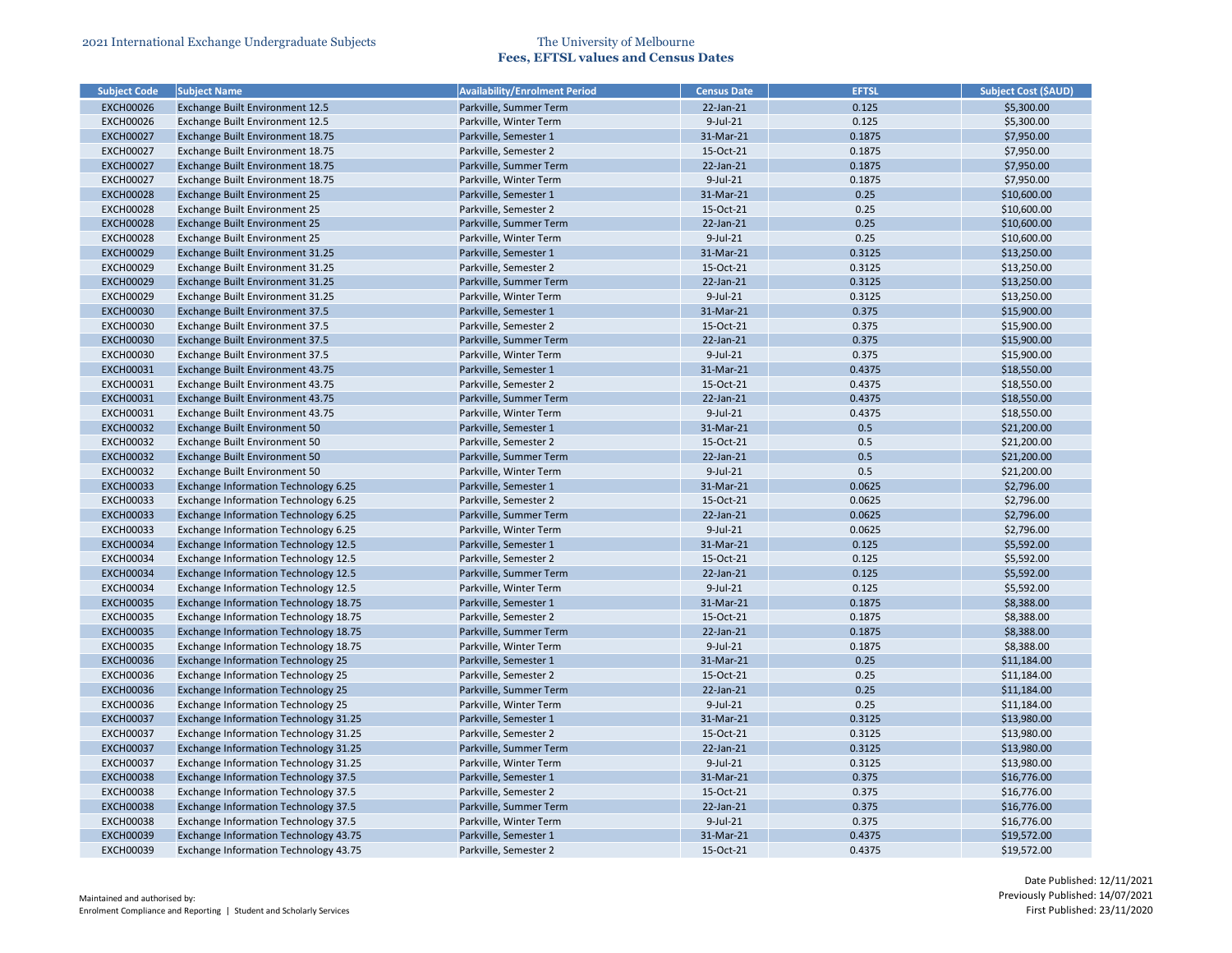| <b>Subject Code</b> | <b>Subject Name</b>                          | <b>Availability/Enrolment Period</b> | <b>Census Date</b> | <b>EFTSL</b> | <b>Subject Cost (\$AUD)</b> |
|---------------------|----------------------------------------------|--------------------------------------|--------------------|--------------|-----------------------------|
| <b>EXCH00026</b>    | <b>Exchange Built Environment 12.5</b>       | Parkville, Summer Term               | $22$ -Jan- $21$    | 0.125        | \$5,300.00                  |
| <b>EXCH00026</b>    | Exchange Built Environment 12.5              | Parkville, Winter Term               | $9$ -Jul-21        | 0.125        | \$5,300.00                  |
| <b>EXCH00027</b>    | Exchange Built Environment 18.75             | Parkville, Semester 1                | 31-Mar-21          | 0.1875       | \$7,950.00                  |
| <b>EXCH00027</b>    | Exchange Built Environment 18.75             | Parkville, Semester 2                | 15-Oct-21          | 0.1875       | \$7,950.00                  |
| <b>EXCH00027</b>    | Exchange Built Environment 18.75             | Parkville, Summer Term               | 22-Jan-21          | 0.1875       | \$7,950.00                  |
| <b>EXCH00027</b>    | Exchange Built Environment 18.75             | Parkville, Winter Term               | $9$ -Jul-21        | 0.1875       | \$7,950.00                  |
| <b>EXCH00028</b>    | <b>Exchange Built Environment 25</b>         | Parkville, Semester 1                | 31-Mar-21          | 0.25         | \$10,600.00                 |
| <b>EXCH00028</b>    | Exchange Built Environment 25                | Parkville, Semester 2                | 15-Oct-21          | 0.25         | \$10,600.00                 |
| <b>EXCH00028</b>    | <b>Exchange Built Environment 25</b>         | Parkville, Summer Term               | 22-Jan-21          | 0.25         | \$10,600.00                 |
| <b>EXCH00028</b>    | Exchange Built Environment 25                | Parkville, Winter Term               | $9$ -Jul-21        | 0.25         | \$10,600.00                 |
| <b>EXCH00029</b>    | Exchange Built Environment 31.25             | Parkville, Semester 1                | 31-Mar-21          | 0.3125       | \$13,250.00                 |
| <b>EXCH00029</b>    | Exchange Built Environment 31.25             | Parkville, Semester 2                | 15-Oct-21          | 0.3125       | \$13,250.00                 |
| <b>EXCH00029</b>    | Exchange Built Environment 31.25             | Parkville, Summer Term               | 22-Jan-21          | 0.3125       | \$13,250.00                 |
| <b>EXCH00029</b>    | Exchange Built Environment 31.25             | Parkville, Winter Term               | 9-Jul-21           | 0.3125       | \$13,250.00                 |
| <b>EXCH00030</b>    | <b>Exchange Built Environment 37.5</b>       | Parkville, Semester 1                | 31-Mar-21          | 0.375        | \$15,900.00                 |
| <b>EXCH00030</b>    | Exchange Built Environment 37.5              | Parkville, Semester 2                | 15-Oct-21          | 0.375        | \$15,900.00                 |
| <b>EXCH00030</b>    | <b>Exchange Built Environment 37.5</b>       | Parkville, Summer Term               | 22-Jan-21          | 0.375        | \$15,900.00                 |
| <b>EXCH00030</b>    | Exchange Built Environment 37.5              | Parkville, Winter Term               | $9$ -Jul-21        | 0.375        | \$15,900.00                 |
| <b>EXCH00031</b>    | Exchange Built Environment 43.75             | Parkville, Semester 1                | 31-Mar-21          | 0.4375       | \$18,550.00                 |
| <b>EXCH00031</b>    | Exchange Built Environment 43.75             | Parkville, Semester 2                | 15-Oct-21          | 0.4375       | \$18,550.00                 |
| <b>EXCH00031</b>    | Exchange Built Environment 43.75             | Parkville, Summer Term               | $22$ -Jan- $21$    | 0.4375       | \$18,550.00                 |
| <b>EXCH00031</b>    | Exchange Built Environment 43.75             | Parkville, Winter Term               | 9-Jul-21           | 0.4375       | \$18,550.00                 |
| <b>EXCH00032</b>    | <b>Exchange Built Environment 50</b>         | Parkville, Semester 1                | 31-Mar-21          | 0.5          | \$21,200.00                 |
| <b>EXCH00032</b>    | Exchange Built Environment 50                | Parkville, Semester 2                | 15-Oct-21          | 0.5          | \$21,200.00                 |
| <b>EXCH00032</b>    | Exchange Built Environment 50                | Parkville, Summer Term               | 22-Jan-21          | 0.5          | \$21,200.00                 |
| <b>EXCH00032</b>    | Exchange Built Environment 50                | Parkville, Winter Term               | $9$ -Jul-21        | 0.5          | \$21,200.00                 |
| <b>EXCH00033</b>    | Exchange Information Technology 6.25         | Parkville, Semester 1                | 31-Mar-21          | 0.0625       | \$2,796.00                  |
| <b>EXCH00033</b>    | Exchange Information Technology 6.25         | Parkville, Semester 2                | 15-Oct-21          | 0.0625       | \$2,796.00                  |
| <b>EXCH00033</b>    | Exchange Information Technology 6.25         | Parkville, Summer Term               | 22-Jan-21          | 0.0625       | \$2,796.00                  |
| <b>EXCH00033</b>    | Exchange Information Technology 6.25         | Parkville, Winter Term               | $9$ -Jul-21        | 0.0625       | \$2,796.00                  |
| <b>EXCH00034</b>    | <b>Exchange Information Technology 12.5</b>  | Parkville, Semester 1                | 31-Mar-21          | 0.125        | \$5,592.00                  |
| <b>EXCH00034</b>    | Exchange Information Technology 12.5         | Parkville, Semester 2                | 15-Oct-21          | 0.125        | \$5,592.00                  |
| <b>EXCH00034</b>    | <b>Exchange Information Technology 12.5</b>  | Parkville, Summer Term               | 22-Jan-21          | 0.125        | \$5,592.00                  |
| <b>EXCH00034</b>    | Exchange Information Technology 12.5         | Parkville, Winter Term               | $9$ -Jul-21        | 0.125        | \$5,592.00                  |
| <b>EXCH00035</b>    | <b>Exchange Information Technology 18.75</b> | Parkville, Semester 1                | 31-Mar-21          | 0.1875       | \$8,388.00                  |
| <b>EXCH00035</b>    | <b>Exchange Information Technology 18.75</b> | Parkville, Semester 2                | 15-Oct-21          | 0.1875       | \$8,388.00                  |
| <b>EXCH00035</b>    | <b>Exchange Information Technology 18.75</b> | Parkville, Summer Term               | 22-Jan-21          | 0.1875       | \$8,388.00                  |
| <b>EXCH00035</b>    | Exchange Information Technology 18.75        | Parkville, Winter Term               | 9-Jul-21           | 0.1875       | \$8,388.00                  |
| <b>EXCH00036</b>    | <b>Exchange Information Technology 25</b>    | Parkville, Semester 1                | 31-Mar-21          | 0.25         | \$11,184.00                 |
| <b>EXCH00036</b>    | <b>Exchange Information Technology 25</b>    | Parkville, Semester 2                | 15-Oct-21          | 0.25         | \$11,184.00                 |
| <b>EXCH00036</b>    | <b>Exchange Information Technology 25</b>    | Parkville, Summer Term               | 22-Jan-21          | 0.25         | \$11,184.00                 |
| <b>EXCH00036</b>    | <b>Exchange Information Technology 25</b>    | Parkville, Winter Term               | 9-Jul-21           | 0.25         | \$11,184.00                 |
| <b>EXCH00037</b>    | <b>Exchange Information Technology 31.25</b> | Parkville, Semester 1                | 31-Mar-21          | 0.3125       | \$13,980.00                 |
| <b>EXCH00037</b>    | <b>Exchange Information Technology 31.25</b> | Parkville, Semester 2                | 15-Oct-21          | 0.3125       | \$13,980.00                 |
| <b>EXCH00037</b>    | <b>Exchange Information Technology 31.25</b> | Parkville, Summer Term               | 22-Jan-21          | 0.3125       | \$13,980.00                 |
| <b>EXCH00037</b>    | Exchange Information Technology 31.25        | Parkville, Winter Term               | 9-Jul-21           | 0.3125       | \$13,980.00                 |
| <b>EXCH00038</b>    | <b>Exchange Information Technology 37.5</b>  | Parkville, Semester 1                | 31-Mar-21          | 0.375        | \$16,776.00                 |
| <b>EXCH00038</b>    | <b>Exchange Information Technology 37.5</b>  | Parkville, Semester 2                | 15-Oct-21          | 0.375        | \$16,776.00                 |
| <b>EXCH00038</b>    | <b>Exchange Information Technology 37.5</b>  | Parkville, Summer Term               | 22-Jan-21          | 0.375        | \$16,776.00                 |
| <b>EXCH00038</b>    | Exchange Information Technology 37.5         | Parkville, Winter Term               | $9$ -Jul-21        | 0.375        | \$16,776.00                 |
| <b>EXCH00039</b>    | <b>Exchange Information Technology 43.75</b> | Parkville, Semester 1                | 31-Mar-21          | 0.4375       | \$19,572.00                 |
| <b>EXCH00039</b>    | Exchange Information Technology 43.75        | Parkville, Semester 2                | 15-Oct-21          | 0.4375       | \$19,572.00                 |
|                     |                                              |                                      |                    |              |                             |

| <b>Subject Cost (SAUD)</b> |
|----------------------------|
| \$5,300.00                 |
| \$5,300.00                 |
| \$7,950.00                 |
| \$7,950.00                 |
| \$7,950.00                 |
| \$7,950.00                 |
| \$10,600.00                |
| \$10,600.00                |
| \$10,600.00                |
| \$10,600.00                |
| \$13,250.00                |
| \$13,250.00                |
| \$13,250.00                |
| \$13,250.00                |
| \$15,900.00                |
| \$15,900.00                |
| \$15,900.00                |
| \$15,900.00                |
| \$18,550.00                |
| \$18,550.00                |
| \$18,550.00                |
| \$18,550.00                |
| \$21,200.00                |
| \$21,200.00                |
| \$21,200.00                |
| \$21,200.00                |
| \$2,796.00                 |
| \$2,796.00                 |
| \$2,796.00                 |
| \$2,796.00                 |
| \$5,592.00                 |
| \$5,592.00                 |
| \$5,592.00                 |
| \$5,592.00                 |
| \$8,388.00                 |
| \$8,388.00                 |
| \$8,388.00                 |
| \$8,388.00                 |
| \$11,184.00                |
| \$11,184.00                |
| \$11,184.00                |
| \$11,184.00                |
|                            |
| \$13,980.00<br>\$13,980.00 |
|                            |
| \$13,980.00                |
| \$13,980.00                |
| \$16,776.00                |
| \$16,776.00                |
| \$16,776.00                |
| \$16,776.00                |
| \$19,572.00                |
| \$19,572.00                |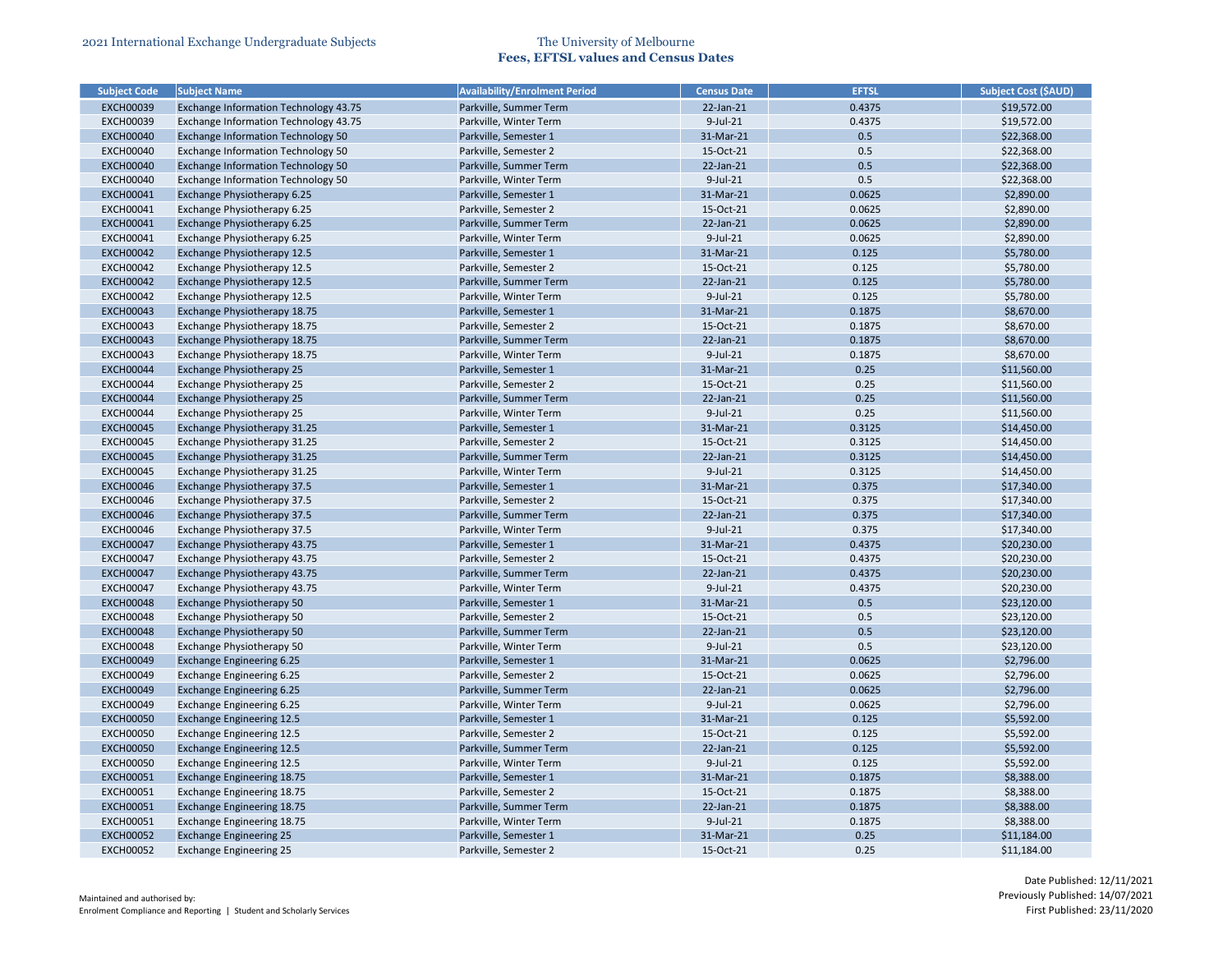| <b>Subject Code</b> | <b>Subject Name</b>                          | <b>Availability/Enrolment Period</b> | <b>Census Date</b> | <b>EFTSL</b> | <b>Subject Cost (\$AUD)</b> |
|---------------------|----------------------------------------------|--------------------------------------|--------------------|--------------|-----------------------------|
| <b>EXCH00039</b>    | <b>Exchange Information Technology 43.75</b> | Parkville, Summer Term               | $22$ -Jan- $21$    | 0.4375       | \$19,572.00                 |
| <b>EXCH00039</b>    | Exchange Information Technology 43.75        | Parkville, Winter Term               | 9-Jul-21           | 0.4375       | \$19,572.00                 |
| <b>EXCH00040</b>    | <b>Exchange Information Technology 50</b>    | Parkville, Semester 1                | 31-Mar-21          | 0.5          | \$22,368.00                 |
| <b>EXCH00040</b>    | <b>Exchange Information Technology 50</b>    | Parkville, Semester 2                | 15-Oct-21          | 0.5          | \$22,368.00                 |
| <b>EXCH00040</b>    | <b>Exchange Information Technology 50</b>    | Parkville, Summer Term               | 22-Jan-21          | 0.5          | \$22,368.00                 |
| <b>EXCH00040</b>    | <b>Exchange Information Technology 50</b>    | Parkville, Winter Term               | $9$ -Jul-21        | 0.5          | \$22,368.00                 |
| <b>EXCH00041</b>    | Exchange Physiotherapy 6.25                  | Parkville, Semester 1                | 31-Mar-21          | 0.0625       | \$2,890.00                  |
| <b>EXCH00041</b>    | Exchange Physiotherapy 6.25                  | Parkville, Semester 2                | 15-Oct-21          | 0.0625       | \$2,890.00                  |
| <b>EXCH00041</b>    | Exchange Physiotherapy 6.25                  | Parkville, Summer Term               | 22-Jan-21          | 0.0625       | \$2,890.00                  |
| <b>EXCH00041</b>    | Exchange Physiotherapy 6.25                  | Parkville, Winter Term               | $9$ -Jul-21        | 0.0625       | \$2,890.00                  |
| <b>EXCH00042</b>    | Exchange Physiotherapy 12.5                  | Parkville, Semester 1                | 31-Mar-21          | 0.125        | \$5,780.00                  |
| <b>EXCH00042</b>    | Exchange Physiotherapy 12.5                  | Parkville, Semester 2                | 15-Oct-21          | 0.125        | \$5,780.00                  |
| <b>EXCH00042</b>    | Exchange Physiotherapy 12.5                  | Parkville, Summer Term               | 22-Jan-21          | 0.125        | \$5,780.00                  |
| <b>EXCH00042</b>    | Exchange Physiotherapy 12.5                  | Parkville, Winter Term               | $9$ -Jul-21        | 0.125        | \$5,780.00                  |
| <b>EXCH00043</b>    | Exchange Physiotherapy 18.75                 | Parkville, Semester 1                | 31-Mar-21          | 0.1875       | \$8,670.00                  |
| <b>EXCH00043</b>    | Exchange Physiotherapy 18.75                 | Parkville, Semester 2                | 15-Oct-21          | 0.1875       | \$8,670.00                  |
| <b>EXCH00043</b>    | Exchange Physiotherapy 18.75                 | Parkville, Summer Term               | 22-Jan-21          | 0.1875       | \$8,670.00                  |
| <b>EXCH00043</b>    | Exchange Physiotherapy 18.75                 | Parkville, Winter Term               | $9$ -Jul-21        | 0.1875       | \$8,670.00                  |
| <b>EXCH00044</b>    | <b>Exchange Physiotherapy 25</b>             | Parkville, Semester 1                | 31-Mar-21          | 0.25         | \$11,560.00                 |
| <b>EXCH00044</b>    | Exchange Physiotherapy 25                    | Parkville, Semester 2                | 15-Oct-21          | 0.25         | \$11,560.00                 |
| <b>EXCH00044</b>    | <b>Exchange Physiotherapy 25</b>             | Parkville, Summer Term               | 22-Jan-21          | 0.25         | \$11,560.00                 |
| <b>EXCH00044</b>    | Exchange Physiotherapy 25                    | Parkville, Winter Term               | 9-Jul-21           | 0.25         | \$11,560.00                 |
| <b>EXCH00045</b>    | Exchange Physiotherapy 31.25                 | Parkville, Semester 1                | 31-Mar-21          | 0.3125       | \$14,450.00                 |
| <b>EXCH00045</b>    | Exchange Physiotherapy 31.25                 | Parkville, Semester 2                | 15-Oct-21          | 0.3125       | \$14,450.00                 |
| <b>EXCH00045</b>    | Exchange Physiotherapy 31.25                 | Parkville, Summer Term               | 22-Jan-21          | 0.3125       | \$14,450.00                 |
| <b>EXCH00045</b>    | Exchange Physiotherapy 31.25                 | Parkville, Winter Term               | $9$ -Jul-21        | 0.3125       | \$14,450.00                 |
| <b>EXCH00046</b>    | Exchange Physiotherapy 37.5                  | Parkville, Semester 1                | 31-Mar-21          | 0.375        | \$17,340.00                 |
| <b>EXCH00046</b>    | Exchange Physiotherapy 37.5                  | Parkville, Semester 2                | 15-Oct-21          | 0.375        | \$17,340.00                 |
| <b>EXCH00046</b>    | <b>Exchange Physiotherapy 37.5</b>           | Parkville, Summer Term               | 22-Jan-21          | 0.375        | \$17,340.00                 |
| <b>EXCH00046</b>    | Exchange Physiotherapy 37.5                  | Parkville, Winter Term               | $9$ -Jul-21        | 0.375        | \$17,340.00                 |
| <b>EXCH00047</b>    | Exchange Physiotherapy 43.75                 | Parkville, Semester 1                | 31-Mar-21          | 0.4375       | \$20,230.00                 |
| <b>EXCH00047</b>    | Exchange Physiotherapy 43.75                 | Parkville, Semester 2                | 15-Oct-21          | 0.4375       | \$20,230.00                 |
| <b>EXCH00047</b>    | Exchange Physiotherapy 43.75                 | Parkville, Summer Term               | 22-Jan-21          | 0.4375       | \$20,230.00                 |
| <b>EXCH00047</b>    | Exchange Physiotherapy 43.75                 | Parkville, Winter Term               | 9-Jul-21           | 0.4375       | \$20,230.00                 |
| <b>EXCH00048</b>    | <b>Exchange Physiotherapy 50</b>             | Parkville, Semester 1                | 31-Mar-21          | 0.5          | \$23,120.00                 |
| <b>EXCH00048</b>    | <b>Exchange Physiotherapy 50</b>             | Parkville, Semester 2                | 15-Oct-21          | 0.5          | \$23,120.00                 |
| <b>EXCH00048</b>    | <b>Exchange Physiotherapy 50</b>             | Parkville, Summer Term               | 22-Jan-21          | 0.5          | \$23,120.00                 |
| <b>EXCH00048</b>    | Exchange Physiotherapy 50                    | Parkville, Winter Term               | $9$ -Jul-21        | 0.5          | \$23,120.00                 |
| <b>EXCH00049</b>    | <b>Exchange Engineering 6.25</b>             | Parkville, Semester 1                | 31-Mar-21          | 0.0625       | \$2,796.00                  |
| <b>EXCH00049</b>    | Exchange Engineering 6.25                    | Parkville, Semester 2                | 15-Oct-21          | 0.0625       | \$2,796.00                  |
| <b>EXCH00049</b>    | <b>Exchange Engineering 6.25</b>             | Parkville, Summer Term               | 22-Jan-21          | 0.0625       | \$2,796.00                  |
| <b>EXCH00049</b>    | <b>Exchange Engineering 6.25</b>             | Parkville, Winter Term               | $9$ -Jul-21        | 0.0625       | \$2,796.00                  |
| <b>EXCH00050</b>    | <b>Exchange Engineering 12.5</b>             | Parkville, Semester 1                | 31-Mar-21          | 0.125        | \$5,592.00                  |
| <b>EXCH00050</b>    |                                              | Parkville, Semester 2                | 15-Oct-21          | 0.125        | \$5,592.00                  |
|                     | <b>Exchange Engineering 12.5</b>             |                                      |                    |              |                             |
| <b>EXCH00050</b>    | <b>Exchange Engineering 12.5</b>             | Parkville, Summer Term               | 22-Jan-21          | 0.125        | \$5,592.00                  |
| <b>EXCH00050</b>    | <b>Exchange Engineering 12.5</b>             | Parkville, Winter Term               | 9-Jul-21           | 0.125        | \$5,592.00                  |
| <b>EXCH00051</b>    | <b>Exchange Engineering 18.75</b>            | Parkville, Semester 1                | 31-Mar-21          | 0.1875       | \$8,388.00                  |
| <b>EXCH00051</b>    | <b>Exchange Engineering 18.75</b>            | Parkville, Semester 2                | 15-Oct-21          | 0.1875       | \$8,388.00                  |
| <b>EXCH00051</b>    | <b>Exchange Engineering 18.75</b>            | Parkville, Summer Term               | $22$ -Jan- $21$    | 0.1875       | \$8,388.00                  |
| <b>EXCH00051</b>    | <b>Exchange Engineering 18.75</b>            | Parkville, Winter Term               | 9-Jul-21           | 0.1875       | \$8,388.00                  |
| <b>EXCH00052</b>    | <b>Exchange Engineering 25</b>               | Parkville, Semester 1                | 31-Mar-21          | 0.25         | \$11,184.00                 |
| <b>EXCH00052</b>    | <b>Exchange Engineering 25</b>               | Parkville, Semester 2                | 15-Oct-21          | 0.25         | \$11,184.00                 |

| Subject Cost (\$AUD) |
|----------------------|
| \$19,572.00          |
| \$19,572.00          |
| \$22,368.00          |
| \$22,368.00          |
| \$22,368.00          |
| \$22,368.00          |
| \$2,890.00           |
| \$2,890.00           |
| \$2,890.00           |
| \$2,890.00           |
| \$5,780.00           |
| \$5,780.00           |
| \$5,780.00           |
| \$5,780.00           |
| \$8,670.00           |
| \$8,670.00           |
| \$8,670.00           |
| \$8,670.00           |
| \$11,560.00          |
| \$11,560.00          |
| \$11,560.00          |
| \$11,560.00          |
| \$14,450.00          |
| \$14,450.00          |
| \$14,450.00          |
| \$14,450.00          |
| \$17,340.00          |
| \$17,340.00          |
| \$17,340.00          |
| \$17,340.00          |
| \$20,230.00          |
| \$20,230.00          |
| \$20,230.00          |
| \$20,230.00          |
| \$23,120.00          |
| \$23,120.00          |
| \$23,120.00          |
| \$23,120.00          |
| \$2,796.00           |
| \$2,796.00           |
| \$2,796.00           |
| \$2,796.00           |
| \$5,592.00           |
| \$5,592.00           |
| \$5,592.00           |
| \$5,592.00           |
| \$8,388.00           |
| \$8,388.00           |
| \$8,388.00           |
| \$8,388.00           |
| \$11,184.00          |
| \$11,184.00          |
|                      |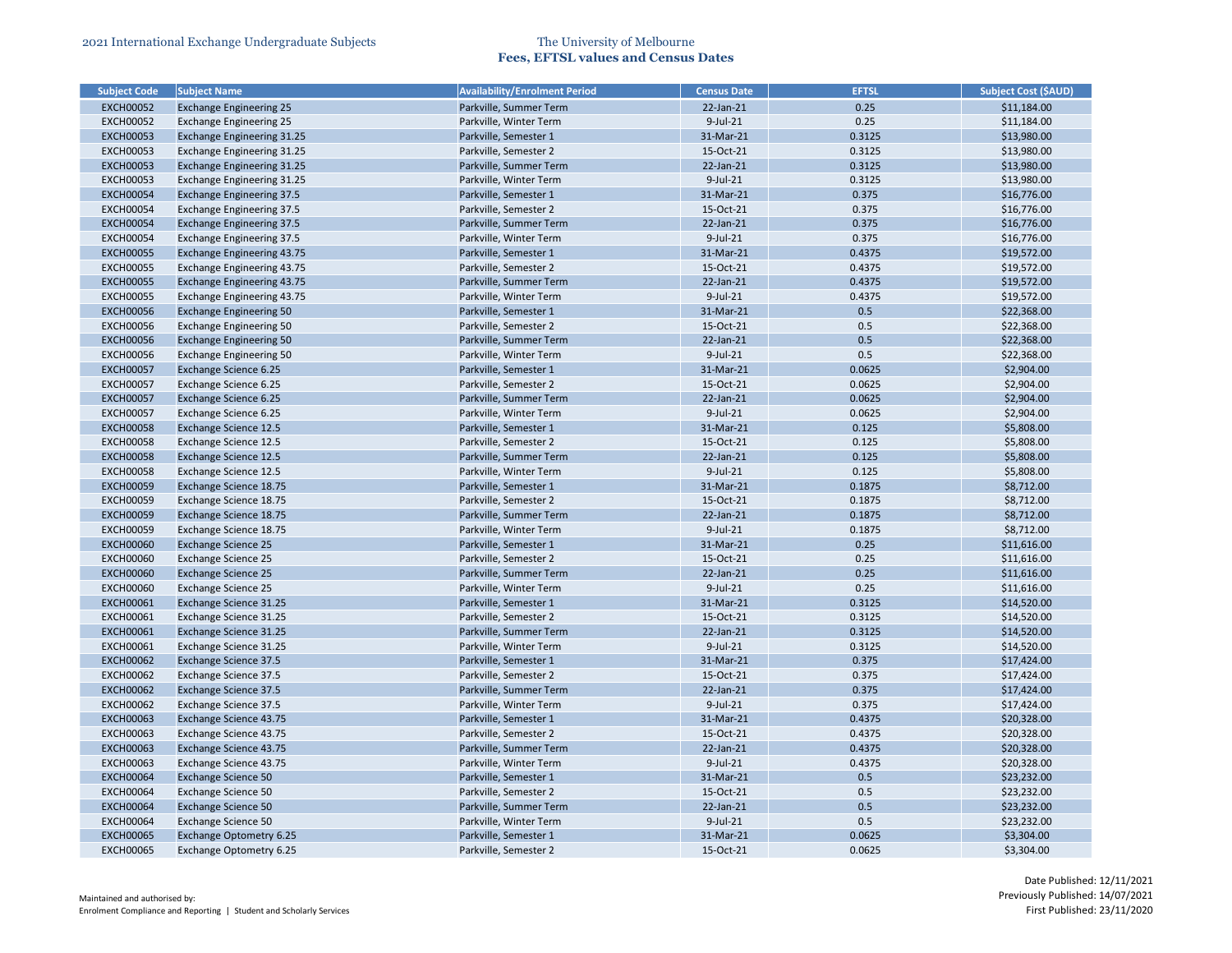| <b>Subject Code</b> | <b>Subject Name</b>               | <b>Availability/Enrolment Period</b> | <b>Census Date</b> | <b>EFTSL</b> | <b>Subject Cost (\$AUD)</b> |
|---------------------|-----------------------------------|--------------------------------------|--------------------|--------------|-----------------------------|
| <b>EXCH00052</b>    | <b>Exchange Engineering 25</b>    | Parkville, Summer Term               | 22-Jan-21          | 0.25         | \$11,184.00                 |
| <b>EXCH00052</b>    | <b>Exchange Engineering 25</b>    | Parkville, Winter Term               | $9$ -Jul-21        | 0.25         | \$11,184.00                 |
| <b>EXCH00053</b>    | <b>Exchange Engineering 31.25</b> | Parkville, Semester 1                | 31-Mar-21          | 0.3125       | \$13,980.00                 |
| <b>EXCH00053</b>    | Exchange Engineering 31.25        | Parkville, Semester 2                | 15-Oct-21          | 0.3125       | \$13,980.00                 |
| <b>EXCH00053</b>    | <b>Exchange Engineering 31.25</b> | Parkville, Summer Term               | 22-Jan-21          | 0.3125       | \$13,980.00                 |
| <b>EXCH00053</b>    | Exchange Engineering 31.25        | Parkville, Winter Term               | 9-Jul-21           | 0.3125       | \$13,980.00                 |
| <b>EXCH00054</b>    | <b>Exchange Engineering 37.5</b>  | Parkville, Semester 1                | 31-Mar-21          | 0.375        | \$16,776.00                 |
| <b>EXCH00054</b>    | <b>Exchange Engineering 37.5</b>  | Parkville, Semester 2                | 15-Oct-21          | 0.375        | \$16,776.00                 |
| <b>EXCH00054</b>    | <b>Exchange Engineering 37.5</b>  | Parkville, Summer Term               | 22-Jan-21          | 0.375        | \$16,776.00                 |
| <b>EXCH00054</b>    | <b>Exchange Engineering 37.5</b>  | Parkville, Winter Term               | $9$ -Jul-21        | 0.375        | \$16,776.00                 |
| <b>EXCH00055</b>    | <b>Exchange Engineering 43.75</b> | Parkville, Semester 1                | 31-Mar-21          | 0.4375       | \$19,572.00                 |
| <b>EXCH00055</b>    | Exchange Engineering 43.75        | Parkville, Semester 2                | 15-Oct-21          | 0.4375       | \$19,572.00                 |
| <b>EXCH00055</b>    | <b>Exchange Engineering 43.75</b> | Parkville, Summer Term               | 22-Jan-21          | 0.4375       | \$19,572.00                 |
| <b>EXCH00055</b>    | Exchange Engineering 43.75        | Parkville, Winter Term               | $9$ -Jul-21        | 0.4375       | \$19,572.00                 |
| <b>EXCH00056</b>    | <b>Exchange Engineering 50</b>    | Parkville, Semester 1                | 31-Mar-21          | 0.5          | \$22,368.00                 |
| <b>EXCH00056</b>    | <b>Exchange Engineering 50</b>    | Parkville, Semester 2                | 15-Oct-21          | 0.5          | \$22,368.00                 |
| <b>EXCH00056</b>    | <b>Exchange Engineering 50</b>    | Parkville, Summer Term               | 22-Jan-21          | 0.5          | \$22,368.00                 |
| <b>EXCH00056</b>    | <b>Exchange Engineering 50</b>    | Parkville, Winter Term               | 9-Jul-21           | 0.5          | \$22,368.00                 |
| <b>EXCH00057</b>    | <b>Exchange Science 6.25</b>      | Parkville, Semester 1                | 31-Mar-21          | 0.0625       | \$2,904.00                  |
| <b>EXCH00057</b>    | Exchange Science 6.25             | Parkville, Semester 2                | 15-Oct-21          | 0.0625       | \$2,904.00                  |
| <b>EXCH00057</b>    | <b>Exchange Science 6.25</b>      | Parkville, Summer Term               | 22-Jan-21          | 0.0625       | \$2,904.00                  |
| <b>EXCH00057</b>    | Exchange Science 6.25             | Parkville, Winter Term               | 9-Jul-21           | 0.0625       | \$2,904.00                  |
| <b>EXCH00058</b>    | <b>Exchange Science 12.5</b>      | Parkville, Semester 1                | 31-Mar-21          | 0.125        | \$5,808.00                  |
| <b>EXCH00058</b>    | Exchange Science 12.5             | Parkville, Semester 2                | 15-Oct-21          | 0.125        | \$5,808.00                  |
| <b>EXCH00058</b>    | <b>Exchange Science 12.5</b>      | Parkville, Summer Term               | 22-Jan-21          | 0.125        | \$5,808.00                  |
| <b>EXCH00058</b>    | Exchange Science 12.5             | Parkville, Winter Term               | $9$ -Jul-21        | 0.125        | \$5,808.00                  |
| <b>EXCH00059</b>    | Exchange Science 18.75            | Parkville, Semester 1                | 31-Mar-21          | 0.1875       | \$8,712.00                  |
| <b>EXCH00059</b>    | Exchange Science 18.75            | Parkville, Semester 2                | 15-Oct-21          | 0.1875       | \$8,712.00                  |
| <b>EXCH00059</b>    | Exchange Science 18.75            | Parkville, Summer Term               | 22-Jan-21          | 0.1875       | \$8,712.00                  |
| <b>EXCH00059</b>    | Exchange Science 18.75            | Parkville, Winter Term               | $9$ -Jul-21        | 0.1875       | \$8,712.00                  |
| <b>EXCH00060</b>    | <b>Exchange Science 25</b>        | Parkville, Semester 1                | 31-Mar-21          | 0.25         | \$11,616.00                 |
| <b>EXCH00060</b>    | <b>Exchange Science 25</b>        | Parkville, Semester 2                | 15-Oct-21          | 0.25         | \$11,616.00                 |
| <b>EXCH00060</b>    | <b>Exchange Science 25</b>        | Parkville, Summer Term               | 22-Jan-21          | 0.25         | \$11,616.00                 |
| <b>EXCH00060</b>    | <b>Exchange Science 25</b>        | Parkville, Winter Term               | $9$ -Jul-21        | 0.25         | \$11,616.00                 |
| <b>EXCH00061</b>    | Exchange Science 31.25            | Parkville, Semester 1                | 31-Mar-21          | 0.3125       | \$14,520.00                 |
| <b>EXCH00061</b>    | Exchange Science 31.25            | Parkville, Semester 2                | 15-Oct-21          | 0.3125       | \$14,520.00                 |
| <b>EXCH00061</b>    | <b>Exchange Science 31.25</b>     | Parkville, Summer Term               | 22-Jan-21          | 0.3125       | \$14,520.00                 |
| <b>EXCH00061</b>    | Exchange Science 31.25            | Parkville, Winter Term               | $9$ -Jul-21        | 0.3125       | \$14,520.00                 |
| <b>EXCH00062</b>    | <b>Exchange Science 37.5</b>      | Parkville, Semester 1                | 31-Mar-21          | 0.375        | \$17,424.00                 |
| <b>EXCH00062</b>    | Exchange Science 37.5             | Parkville, Semester 2                | 15-Oct-21          | 0.375        | \$17,424.00                 |
| <b>EXCH00062</b>    | <b>Exchange Science 37.5</b>      | Parkville, Summer Term               | 22-Jan-21          | 0.375        | \$17,424.00                 |
| <b>EXCH00062</b>    | Exchange Science 37.5             | Parkville, Winter Term               | $9$ -Jul-21        | 0.375        | \$17,424.00                 |
| <b>EXCH00063</b>    | Exchange Science 43.75            | Parkville, Semester 1                | 31-Mar-21          | 0.4375       | \$20,328.00                 |
| <b>EXCH00063</b>    | Exchange Science 43.75            | Parkville, Semester 2                | 15-Oct-21          | 0.4375       | \$20,328.00                 |
| <b>EXCH00063</b>    | Exchange Science 43.75            | Parkville, Summer Term               | 22-Jan-21          | 0.4375       | \$20,328.00                 |
|                     |                                   | Parkville, Winter Term               | $9$ -Jul-21        |              |                             |
| <b>EXCH00063</b>    | Exchange Science 43.75            |                                      |                    | 0.4375       | \$20,328.00                 |
| <b>EXCH00064</b>    | <b>Exchange Science 50</b>        | Parkville, Semester 1                | 31-Mar-21          | 0.5          | \$23,232.00                 |
| <b>EXCH00064</b>    | <b>Exchange Science 50</b>        | Parkville, Semester 2                | 15-Oct-21          | 0.5          | \$23,232.00                 |
| <b>EXCH00064</b>    | <b>Exchange Science 50</b>        | Parkville, Summer Term               | $22$ -Jan- $21$    | 0.5          | \$23,232.00                 |
| <b>EXCH00064</b>    | <b>Exchange Science 50</b>        | Parkville, Winter Term               | 9-Jul-21           | 0.5          | \$23,232.00                 |
| <b>EXCH00065</b>    | Exchange Optometry 6.25           | Parkville, Semester 1                | 31-Mar-21          | 0.0625       | \$3,304.00                  |
| <b>EXCH00065</b>    | Exchange Optometry 6.25           | Parkville, Semester 2                | 15-Oct-21          | 0.0625       | \$3,304.00                  |

| Subject Cost (\$AUD)       |
|----------------------------|
| \$11,184.00                |
| \$11,184.00                |
| \$13,980.00                |
| \$13,980.00                |
| \$13,980.00                |
| \$13,980.00                |
| \$16,776.00                |
| \$16,776.00                |
| \$16,776.00                |
| \$16,776.00                |
| \$19,572.00                |
| \$19,572.00                |
| \$19,572.00                |
| \$19,572.00                |
| \$22,368.00                |
| \$22,368.00                |
| \$22,368.00                |
| \$22,368.00                |
| \$2,904.00                 |
| \$2,904.00                 |
| \$2,904.00                 |
|                            |
| \$2,904.00                 |
| \$5,808.00                 |
| \$5,808.00                 |
| \$5,808.00<br>\$5,808.00   |
| \$8,712.00                 |
| \$8,712.00                 |
| \$8,712.00                 |
| \$8,712.00                 |
| \$11,616.00                |
|                            |
| \$11,616.00<br>\$11,616.00 |
| \$11,616.00                |
|                            |
| \$14,520.00                |
| \$14,520.00                |
| \$14,520.00                |
| \$14,520.00                |
| \$17,424.00                |
| \$17,424.00                |
| \$17,424.00                |
| \$17,424.00                |
| \$20,328.00                |
| \$20,328.00                |
| \$20,328.00                |
| \$20,328.00                |
| \$23,232.00                |
| \$23,232.00                |
| \$23,232.00                |
| \$23,232.00                |
| \$3,304.00                 |
| \$3,304.00                 |
|                            |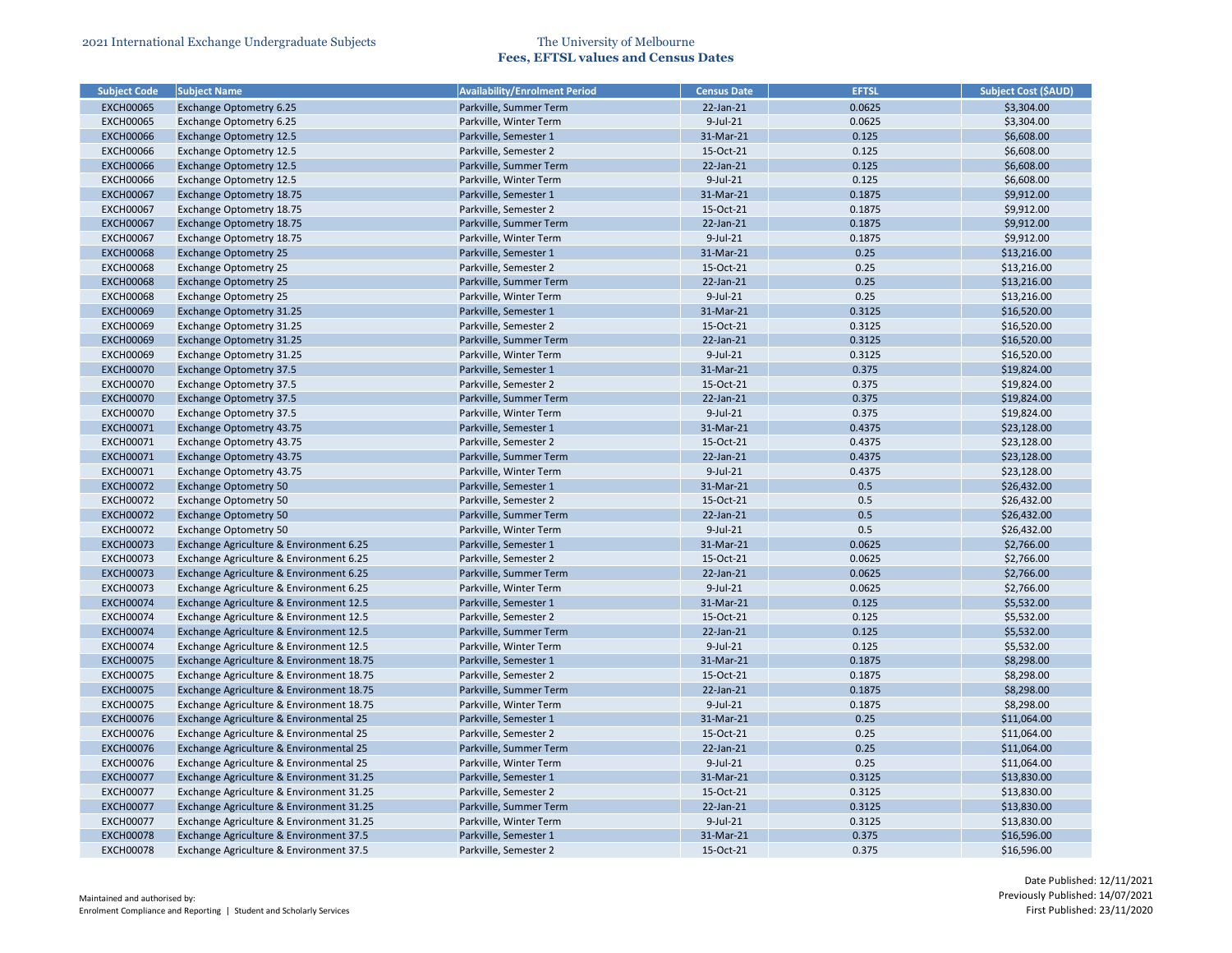| <b>Subject Code</b> | <b>Subject Name</b>                      | <b>Availability/Enrolment Period</b> | <b>Census Date</b> | <b>EFTSL</b> | <b>Subject Cost (\$AUD)</b> |
|---------------------|------------------------------------------|--------------------------------------|--------------------|--------------|-----------------------------|
| <b>EXCH00065</b>    | <b>Exchange Optometry 6.25</b>           | Parkville, Summer Term               | 22-Jan-21          | 0.0625       | \$3,304.00                  |
| <b>EXCH00065</b>    | Exchange Optometry 6.25                  | Parkville, Winter Term               | $9$ -Jul-21        | 0.0625       | \$3,304.00                  |
| <b>EXCH00066</b>    | <b>Exchange Optometry 12.5</b>           | Parkville, Semester 1                | 31-Mar-21          | 0.125        | \$6,608.00                  |
| <b>EXCH00066</b>    | Exchange Optometry 12.5                  | Parkville, Semester 2                | 15-Oct-21          | 0.125        | \$6,608.00                  |
| <b>EXCH00066</b>    | <b>Exchange Optometry 12.5</b>           | Parkville, Summer Term               | 22-Jan-21          | 0.125        | \$6,608.00                  |
| <b>EXCH00066</b>    | <b>Exchange Optometry 12.5</b>           | Parkville, Winter Term               | 9-Jul-21           | 0.125        | \$6,608.00                  |
| <b>EXCH00067</b>    | Exchange Optometry 18.75                 | Parkville, Semester 1                | 31-Mar-21          | 0.1875       | \$9,912.00                  |
| <b>EXCH00067</b>    | Exchange Optometry 18.75                 | Parkville, Semester 2                | 15-Oct-21          | 0.1875       | \$9,912.00                  |
| <b>EXCH00067</b>    | Exchange Optometry 18.75                 | Parkville, Summer Term               | 22-Jan-21          | 0.1875       | \$9,912.00                  |
| <b>EXCH00067</b>    | Exchange Optometry 18.75                 | Parkville, Winter Term               | 9-Jul-21           | 0.1875       | \$9,912.00                  |
| <b>EXCH00068</b>    | <b>Exchange Optometry 25</b>             | Parkville, Semester 1                | 31-Mar-21          | 0.25         | \$13,216.00                 |
| <b>EXCH00068</b>    | <b>Exchange Optometry 25</b>             | Parkville, Semester 2                | 15-Oct-21          | 0.25         | \$13,216.00                 |
| <b>EXCH00068</b>    | <b>Exchange Optometry 25</b>             | Parkville, Summer Term               | 22-Jan-21          | 0.25         | \$13,216.00                 |
| <b>EXCH00068</b>    | <b>Exchange Optometry 25</b>             | Parkville, Winter Term               | $9$ -Jul-21        | 0.25         | \$13,216.00                 |
| <b>EXCH00069</b>    | <b>Exchange Optometry 31.25</b>          | Parkville, Semester 1                | 31-Mar-21          | 0.3125       | \$16,520.00                 |
| <b>EXCH00069</b>    | Exchange Optometry 31.25                 | Parkville, Semester 2                | 15-Oct-21          | 0.3125       | \$16,520.00                 |
| <b>EXCH00069</b>    | <b>Exchange Optometry 31.25</b>          | Parkville, Summer Term               | 22-Jan-21          | 0.3125       | \$16,520.00                 |
| <b>EXCH00069</b>    | <b>Exchange Optometry 31.25</b>          | Parkville, Winter Term               | $9$ -Jul-21        | 0.3125       | \$16,520.00                 |
| <b>EXCH00070</b>    | <b>Exchange Optometry 37.5</b>           | Parkville, Semester 1                | 31-Mar-21          | 0.375        | \$19,824.00                 |
| <b>EXCH00070</b>    |                                          | Parkville, Semester 2                | 15-Oct-21          | 0.375        | \$19,824.00                 |
| <b>EXCH00070</b>    | <b>Exchange Optometry 37.5</b>           | Parkville, Summer Term               | 22-Jan-21          | 0.375        |                             |
| <b>EXCH00070</b>    | <b>Exchange Optometry 37.5</b>           |                                      | 9-Jul-21           | 0.375        | \$19,824.00                 |
|                     | <b>Exchange Optometry 37.5</b>           | Parkville, Winter Term               |                    |              | \$19,824.00                 |
| <b>EXCH00071</b>    | <b>Exchange Optometry 43.75</b>          | Parkville, Semester 1                | 31-Mar-21          | 0.4375       | \$23,128.00                 |
| <b>EXCH00071</b>    | Exchange Optometry 43.75                 | Parkville, Semester 2                | 15-Oct-21          | 0.4375       | \$23,128.00                 |
| <b>EXCH00071</b>    | Exchange Optometry 43.75                 | Parkville, Summer Term               | 22-Jan-21          | 0.4375       | \$23,128.00                 |
| <b>EXCH00071</b>    | Exchange Optometry 43.75                 | Parkville, Winter Term               | $9$ -Jul-21        | 0.4375       | \$23,128.00                 |
| <b>EXCH00072</b>    | <b>Exchange Optometry 50</b>             | Parkville, Semester 1                | 31-Mar-21          | 0.5          | \$26,432.00                 |
| <b>EXCH00072</b>    | <b>Exchange Optometry 50</b>             | Parkville, Semester 2                | 15-Oct-21          | 0.5          | \$26,432.00                 |
| <b>EXCH00072</b>    | <b>Exchange Optometry 50</b>             | Parkville, Summer Term               | 22-Jan-21          | 0.5          | \$26,432.00                 |
| <b>EXCH00072</b>    | Exchange Optometry 50                    | Parkville, Winter Term               | 9-Jul-21           | 0.5          | \$26,432.00                 |
| <b>EXCH00073</b>    | Exchange Agriculture & Environment 6.25  | Parkville, Semester 1                | 31-Mar-21          | 0.0625       | \$2,766.00                  |
| <b>EXCH00073</b>    | Exchange Agriculture & Environment 6.25  | Parkville, Semester 2                | 15-Oct-21          | 0.0625       | \$2,766.00                  |
| <b>EXCH00073</b>    | Exchange Agriculture & Environment 6.25  | Parkville, Summer Term               | 22-Jan-21          | 0.0625       | \$2,766.00                  |
| <b>EXCH00073</b>    | Exchange Agriculture & Environment 6.25  | Parkville, Winter Term               | $9$ -Jul-21        | 0.0625       | \$2,766.00                  |
| <b>EXCH00074</b>    | Exchange Agriculture & Environment 12.5  | Parkville, Semester 1                | 31-Mar-21          | 0.125        | \$5,532.00                  |
| <b>EXCH00074</b>    | Exchange Agriculture & Environment 12.5  | Parkville, Semester 2                | 15-Oct-21          | 0.125        | \$5,532.00                  |
| <b>EXCH00074</b>    | Exchange Agriculture & Environment 12.5  | Parkville, Summer Term               | 22-Jan-21          | 0.125        | \$5,532.00                  |
| <b>EXCH00074</b>    | Exchange Agriculture & Environment 12.5  | Parkville, Winter Term               | 9-Jul-21           | 0.125        | \$5,532.00                  |
| <b>EXCH00075</b>    | Exchange Agriculture & Environment 18.75 | Parkville, Semester 1                | 31-Mar-21          | 0.1875       | \$8,298.00                  |
| <b>EXCH00075</b>    | Exchange Agriculture & Environment 18.75 | Parkville, Semester 2                | 15-Oct-21          | 0.1875       | \$8,298.00                  |
| <b>EXCH00075</b>    | Exchange Agriculture & Environment 18.75 | Parkville, Summer Term               | 22-Jan-21          | 0.1875       | \$8,298.00                  |
| <b>EXCH00075</b>    | Exchange Agriculture & Environment 18.75 | Parkville, Winter Term               | 9-Jul-21           | 0.1875       | \$8,298.00                  |
| <b>EXCH00076</b>    | Exchange Agriculture & Environmental 25  | Parkville, Semester 1                | 31-Mar-21          | 0.25         | \$11,064.00                 |
| <b>EXCH00076</b>    | Exchange Agriculture & Environmental 25  | Parkville, Semester 2                | 15-Oct-21          | 0.25         | \$11,064.00                 |
| <b>EXCH00076</b>    | Exchange Agriculture & Environmental 25  | Parkville, Summer Term               | 22-Jan-21          | 0.25         | \$11,064.00                 |
| <b>EXCH00076</b>    | Exchange Agriculture & Environmental 25  | Parkville, Winter Term               | 9-Jul-21           | 0.25         | \$11,064.00                 |
| <b>EXCH00077</b>    | Exchange Agriculture & Environment 31.25 | Parkville, Semester 1                | 31-Mar-21          | 0.3125       | \$13,830.00                 |
| <b>EXCH00077</b>    | Exchange Agriculture & Environment 31.25 | Parkville, Semester 2                | 15-Oct-21          | 0.3125       | \$13,830.00                 |
| <b>EXCH00077</b>    | Exchange Agriculture & Environment 31.25 | Parkville, Summer Term               | 22-Jan-21          | 0.3125       | \$13,830.00                 |
| <b>EXCH00077</b>    | Exchange Agriculture & Environment 31.25 | Parkville, Winter Term               | 9-Jul-21           | 0.3125       | \$13,830.00                 |
| <b>EXCH00078</b>    | Exchange Agriculture & Environment 37.5  | Parkville, Semester 1                | 31-Mar-21          | 0.375        | \$16,596.00                 |
| <b>EXCH00078</b>    | Exchange Agriculture & Environment 37.5  | Parkville, Semester 2                | 15-Oct-21          | 0.375        | \$16,596.00                 |

| <b>Subject Cost (\$AUD)</b> |
|-----------------------------|
| \$3,304.00                  |
| \$3,304.00                  |
| \$6,608.00                  |
| \$6,608.00                  |
| \$6,608.00                  |
| \$6,608.00                  |
| \$9,912.00                  |
| \$9,912.00                  |
| \$9,912.00                  |
| \$9,912.00                  |
| \$13,216.00                 |
| \$13,216.00                 |
| \$13,216.00                 |
| \$13,216.00                 |
| \$16,520.00                 |
|                             |
| \$16,520.00                 |
| \$16,520.00                 |
| \$16,520.00                 |
| \$19,824.00                 |
| \$19,824.00                 |
| \$19,824.00                 |
| \$19,824.00                 |
| \$23,128.00                 |
| \$23,128.00                 |
| \$23,128.00                 |
| \$23,128.00                 |
| \$26,432.00                 |
| \$26,432.00                 |
| \$26,432.00                 |
| \$26,432.00                 |
| \$2,766.00                  |
| \$2,766.00                  |
| \$2,766.00                  |
| \$2,766.00                  |
| \$5,532.00                  |
| \$5,532.00                  |
| \$5,532.00                  |
| \$5,532.00                  |
| \$8,298.00                  |
| \$8,298.00                  |
| \$8,298.00                  |
| \$8,298.00                  |
| \$11,064.00                 |
| \$11,064.00                 |
| \$11,064.00                 |
|                             |
| \$11,064.00                 |
| \$13,830.00                 |
| \$13,830.00                 |
| \$13,830.00                 |
| \$13,830.00                 |
| \$16,596.00                 |
| \$16,596.00                 |
|                             |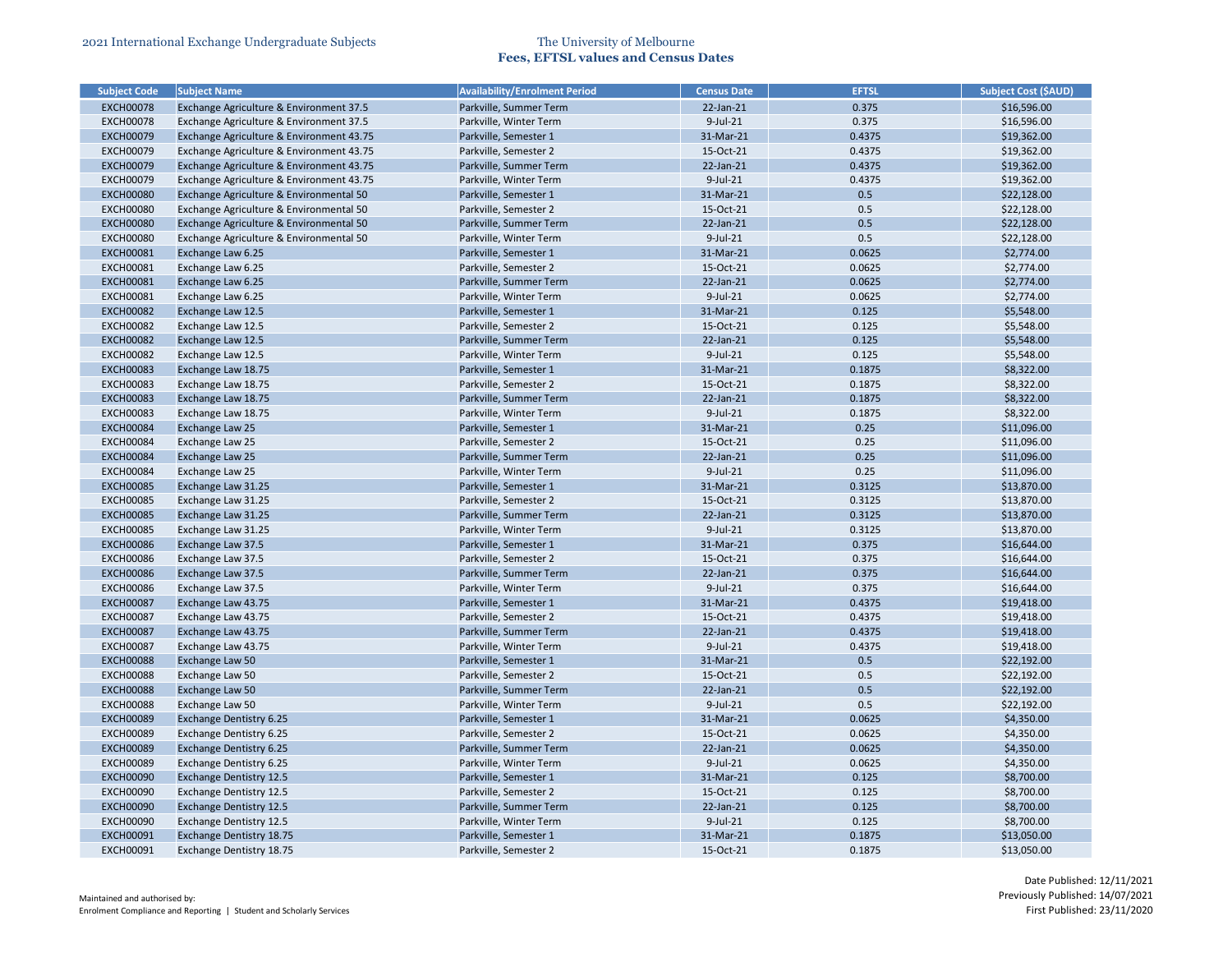|                     | <b>Subject Name</b>                      | <b>Availability/Enrolment Period</b> | <b>Census Date</b> | <b>EFTSL</b> | <b>Subject Cost (\$AUD)</b> |
|---------------------|------------------------------------------|--------------------------------------|--------------------|--------------|-----------------------------|
| <b>Subject Code</b> |                                          |                                      |                    |              |                             |
| <b>EXCH00078</b>    | Exchange Agriculture & Environment 37.5  | Parkville, Summer Term               | 22-Jan-21          | 0.375        | \$16,596.00                 |
| <b>EXCH00078</b>    | Exchange Agriculture & Environment 37.5  | Parkville, Winter Term               | 9-Jul-21           | 0.375        | \$16,596.00                 |
| <b>EXCH00079</b>    | Exchange Agriculture & Environment 43.75 | Parkville, Semester 1                | 31-Mar-21          | 0.4375       | \$19,362.00                 |
| <b>EXCH00079</b>    | Exchange Agriculture & Environment 43.75 | Parkville, Semester 2                | 15-Oct-21          | 0.4375       | \$19,362.00                 |
| <b>EXCH00079</b>    | Exchange Agriculture & Environment 43.75 | Parkville, Summer Term               | 22-Jan-21          | 0.4375       | \$19,362.00                 |
| <b>EXCH00079</b>    | Exchange Agriculture & Environment 43.75 | Parkville, Winter Term               | 9-Jul-21           | 0.4375       | \$19,362.00                 |
| <b>EXCH00080</b>    | Exchange Agriculture & Environmental 50  | Parkville, Semester 1                | 31-Mar-21          | 0.5          | \$22,128.00                 |
| <b>EXCH00080</b>    | Exchange Agriculture & Environmental 50  | Parkville, Semester 2                | 15-Oct-21          | 0.5          | \$22,128.00                 |
| <b>EXCH00080</b>    | Exchange Agriculture & Environmental 50  | Parkville, Summer Term               | 22-Jan-21          | 0.5          | \$22,128.00                 |
| <b>EXCH00080</b>    | Exchange Agriculture & Environmental 50  | Parkville, Winter Term               | $9$ -Jul-21        | 0.5          | \$22,128.00                 |
| <b>EXCH00081</b>    | Exchange Law 6.25                        | Parkville, Semester 1                | 31-Mar-21          | 0.0625       | \$2,774.00                  |
| <b>EXCH00081</b>    | Exchange Law 6.25                        | Parkville, Semester 2                | 15-Oct-21          | 0.0625       | \$2,774.00                  |
| <b>EXCH00081</b>    | Exchange Law 6.25                        | Parkville, Summer Term               | 22-Jan-21          | 0.0625       | \$2,774.00                  |
| <b>EXCH00081</b>    | Exchange Law 6.25                        | Parkville, Winter Term               | $9$ -Jul-21        | 0.0625       | \$2,774.00                  |
| <b>EXCH00082</b>    | Exchange Law 12.5                        | Parkville, Semester 1                | 31-Mar-21          | 0.125        | \$5,548.00                  |
| <b>EXCH00082</b>    | Exchange Law 12.5                        | Parkville, Semester 2                | 15-Oct-21          | 0.125        | \$5,548.00                  |
| <b>EXCH00082</b>    | Exchange Law 12.5                        | Parkville, Summer Term               | 22-Jan-21          | 0.125        | \$5,548.00                  |
| <b>EXCH00082</b>    | Exchange Law 12.5                        | Parkville, Winter Term               | $9$ -Jul-21        | 0.125        | \$5,548.00                  |
| <b>EXCH00083</b>    | Exchange Law 18.75                       | Parkville, Semester 1                | 31-Mar-21          | 0.1875       | \$8,322.00                  |
| <b>EXCH00083</b>    | Exchange Law 18.75                       | Parkville, Semester 2                | 15-Oct-21          | 0.1875       | \$8,322.00                  |
| <b>EXCH00083</b>    | Exchange Law 18.75                       | Parkville, Summer Term               | 22-Jan-21          | 0.1875       | \$8,322.00                  |
| <b>EXCH00083</b>    | Exchange Law 18.75                       | Parkville, Winter Term               | 9-Jul-21           | 0.1875       | \$8,322.00                  |
| <b>EXCH00084</b>    | <b>Exchange Law 25</b>                   | Parkville, Semester 1                | 31-Mar-21          | 0.25         | \$11,096.00                 |
| <b>EXCH00084</b>    | Exchange Law 25                          | Parkville, Semester 2                | 15-Oct-21          | 0.25         | \$11,096.00                 |
| <b>EXCH00084</b>    | <b>Exchange Law 25</b>                   | Parkville, Summer Term               | 22-Jan-21          | 0.25         | \$11,096.00                 |
| <b>EXCH00084</b>    | Exchange Law 25                          | Parkville, Winter Term               | 9-Jul-21           | 0.25         | \$11,096.00                 |
| <b>EXCH00085</b>    | Exchange Law 31.25                       | Parkville, Semester 1                | 31-Mar-21          | 0.3125       | \$13,870.00                 |
| <b>EXCH00085</b>    | Exchange Law 31.25                       | Parkville, Semester 2                | 15-Oct-21          | 0.3125       | \$13,870.00                 |
| <b>EXCH00085</b>    | Exchange Law 31.25                       | Parkville, Summer Term               | 22-Jan-21          | 0.3125       | \$13,870.00                 |
| <b>EXCH00085</b>    | Exchange Law 31.25                       | Parkville, Winter Term               | 9-Jul-21           | 0.3125       | \$13,870.00                 |
| <b>EXCH00086</b>    | Exchange Law 37.5                        | Parkville, Semester 1                | 31-Mar-21          | 0.375        | \$16,644.00                 |
| <b>EXCH00086</b>    | Exchange Law 37.5                        | Parkville, Semester 2                | 15-Oct-21          | 0.375        | \$16,644.00                 |
| <b>EXCH00086</b>    | Exchange Law 37.5                        | Parkville, Summer Term               | 22-Jan-21          | 0.375        | \$16,644.00                 |
| <b>EXCH00086</b>    | Exchange Law 37.5                        | Parkville, Winter Term               | $9$ -Jul-21        | 0.375        | \$16,644.00                 |
| <b>EXCH00087</b>    | Exchange Law 43.75                       | Parkville, Semester 1                | 31-Mar-21          | 0.4375       | \$19,418.00                 |
| <b>EXCH00087</b>    | Exchange Law 43.75                       | Parkville, Semester 2                | 15-Oct-21          | 0.4375       | \$19,418.00                 |
| <b>EXCH00087</b>    | Exchange Law 43.75                       | Parkville, Summer Term               | 22-Jan-21          | 0.4375       | \$19,418.00                 |
| <b>EXCH00087</b>    | Exchange Law 43.75                       | Parkville, Winter Term               | 9-Jul-21           | 0.4375       | \$19,418.00                 |
| <b>EXCH00088</b>    | <b>Exchange Law 50</b>                   | Parkville, Semester 1                | 31-Mar-21          | 0.5          | \$22,192.00                 |
| <b>EXCH00088</b>    | Exchange Law 50                          | Parkville, Semester 2                | 15-Oct-21          | 0.5          | \$22,192.00                 |
| <b>EXCH00088</b>    | <b>Exchange Law 50</b>                   | Parkville, Summer Term               | 22-Jan-21          | 0.5          | \$22,192.00                 |
| <b>EXCH00088</b>    | Exchange Law 50                          | Parkville, Winter Term               | $9$ -Jul-21        | 0.5          | \$22,192.00                 |
| <b>EXCH00089</b>    | Exchange Dentistry 6.25                  | Parkville, Semester 1                | 31-Mar-21          | 0.0625       | \$4,350.00                  |
| <b>EXCH00089</b>    | Exchange Dentistry 6.25                  | Parkville, Semester 2                | 15-Oct-21          | 0.0625       | \$4,350.00                  |
| <b>EXCH00089</b>    | <b>Exchange Dentistry 6.25</b>           | Parkville, Summer Term               | 22-Jan-21          | 0.0625       | \$4,350.00                  |
| <b>EXCH00089</b>    | Exchange Dentistry 6.25                  | Parkville, Winter Term               | 9-Jul-21           | 0.0625       | \$4,350.00                  |
| <b>EXCH00090</b>    | <b>Exchange Dentistry 12.5</b>           | Parkville, Semester 1                | 31-Mar-21          | 0.125        | \$8,700.00                  |
| <b>EXCH00090</b>    | Exchange Dentistry 12.5                  | Parkville, Semester 2                | 15-Oct-21          | 0.125        | \$8,700.00                  |
| <b>EXCH00090</b>    | <b>Exchange Dentistry 12.5</b>           | Parkville, Summer Term               | $22$ -Jan- $21$    | 0.125        | \$8,700.00                  |
| <b>EXCH00090</b>    | <b>Exchange Dentistry 12.5</b>           | Parkville, Winter Term               | 9-Jul-21           | 0.125        | \$8,700.00                  |
| <b>EXCH00091</b>    | Exchange Dentistry 18.75                 | Parkville, Semester 1                | 31-Mar-21          | 0.1875       | \$13,050.00                 |
| EXCH00091           | Exchange Dentistry 18.75                 | Parkville, Semester 2                | 15-Oct-21          | 0.1875       | \$13,050.00                 |
|                     |                                          |                                      |                    |              |                             |

| <b>Subject Cost (\$AUD)</b> |
|-----------------------------|
| \$16,596.00                 |
| \$16,596.00                 |
| \$19,362.00                 |
| \$19,362.00                 |
| \$19,362.00                 |
| \$19,362.00                 |
| \$22,128.00                 |
| \$22,128.00                 |
| \$22,128.00                 |
| \$22,128.00                 |
| \$2,774.00                  |
| \$2,774.00                  |
| \$2,774.00                  |
| \$2,774.00                  |
| \$5,548.00                  |
| \$5,548.00                  |
| \$5,548.00                  |
| \$5,548.00                  |
| \$8,322.00                  |
| \$8,322.00                  |
| \$8,322.00                  |
| \$8,322.00                  |
| \$11,096.00                 |
| \$11,096.00                 |
| \$11,096.00                 |
| \$11,096.00                 |
| \$13,870.00                 |
| \$13,870.00                 |
| \$13,870.00                 |
| \$13,870.00                 |
| \$16,644.00                 |
| \$16,644.00                 |
| \$16,644.00                 |
| \$16,644.00                 |
| \$19,418.00                 |
| \$19,418.00                 |
| \$19,418.00                 |
| \$19,418.00                 |
| \$22,192.00                 |
| \$22,192.00                 |
| \$22,192.00                 |
| \$22,192.00                 |
| \$4,350.00                  |
| \$4,350.00                  |
| \$4,350.00                  |
| \$4,350.00                  |
| \$8,700.00                  |
| \$8,700.00                  |
| \$8,700.00                  |
| \$8,700.00                  |
|                             |
| \$13,050.00                 |
| \$13,050.00                 |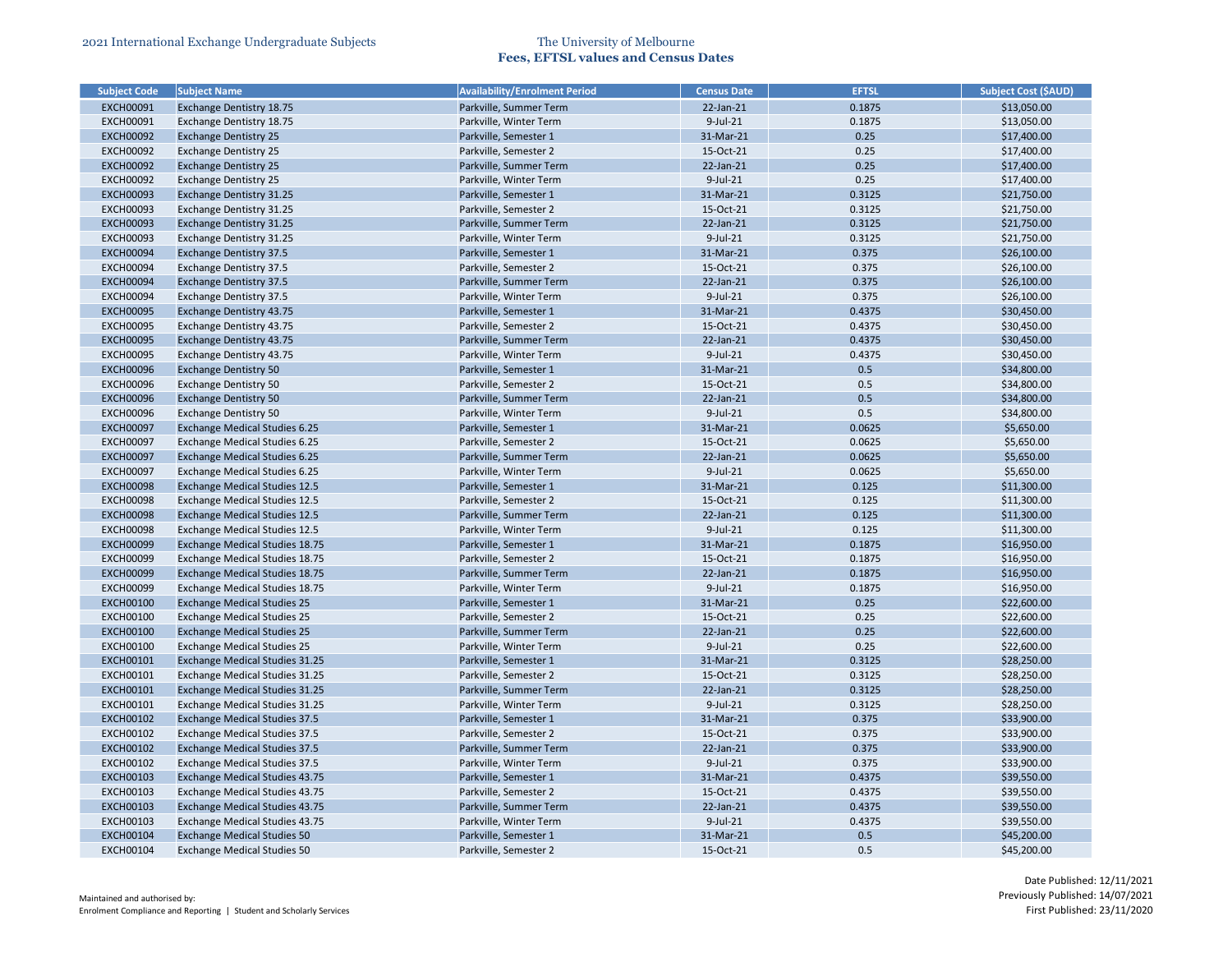| <b>Subject Code</b> | <b>Subject Name</b>                   | <b>Availability/Enrolment Period</b> | <b>Census Date</b> | <b>EFTSL</b> | <b>Subject Cost (\$AUD)</b> |
|---------------------|---------------------------------------|--------------------------------------|--------------------|--------------|-----------------------------|
| <b>EXCH00091</b>    | <b>Exchange Dentistry 18.75</b>       | Parkville, Summer Term               | 22-Jan-21          | 0.1875       | \$13,050.00                 |
| <b>EXCH00091</b>    | Exchange Dentistry 18.75              | Parkville, Winter Term               | $9$ -Jul-21        | 0.1875       | \$13,050.00                 |
| <b>EXCH00092</b>    | <b>Exchange Dentistry 25</b>          | Parkville, Semester 1                | 31-Mar-21          | 0.25         | \$17,400.00                 |
| <b>EXCH00092</b>    | <b>Exchange Dentistry 25</b>          | Parkville, Semester 2                | 15-Oct-21          | 0.25         | \$17,400.00                 |
| <b>EXCH00092</b>    | <b>Exchange Dentistry 25</b>          | Parkville, Summer Term               | 22-Jan-21          | 0.25         | \$17,400.00                 |
| <b>EXCH00092</b>    | <b>Exchange Dentistry 25</b>          | Parkville, Winter Term               | 9-Jul-21           | 0.25         | \$17,400.00                 |
| <b>EXCH00093</b>    | Exchange Dentistry 31.25              | Parkville, Semester 1                | 31-Mar-21          | 0.3125       | \$21,750.00                 |
| <b>EXCH00093</b>    | Exchange Dentistry 31.25              | Parkville, Semester 2                | 15-Oct-21          | 0.3125       | \$21,750.00                 |
| <b>EXCH00093</b>    | <b>Exchange Dentistry 31.25</b>       | Parkville, Summer Term               | 22-Jan-21          | 0.3125       | \$21,750.00                 |
| <b>EXCH00093</b>    | Exchange Dentistry 31.25              | Parkville, Winter Term               | $9$ -Jul-21        | 0.3125       | \$21,750.00                 |
| <b>EXCH00094</b>    | <b>Exchange Dentistry 37.5</b>        | Parkville, Semester 1                | 31-Mar-21          | 0.375        | \$26,100.00                 |
| <b>EXCH00094</b>    | <b>Exchange Dentistry 37.5</b>        | Parkville, Semester 2                | 15-Oct-21          | 0.375        | \$26,100.00                 |
| <b>EXCH00094</b>    | <b>Exchange Dentistry 37.5</b>        | Parkville, Summer Term               | 22-Jan-21          | 0.375        | \$26,100.00                 |
| <b>EXCH00094</b>    | <b>Exchange Dentistry 37.5</b>        | Parkville, Winter Term               | $9$ -Jul-21        | 0.375        | \$26,100.00                 |
| <b>EXCH00095</b>    | Exchange Dentistry 43.75              | Parkville, Semester 1                | 31-Mar-21          | 0.4375       | \$30,450.00                 |
| <b>EXCH00095</b>    | Exchange Dentistry 43.75              | Parkville, Semester 2                | 15-Oct-21          | 0.4375       | \$30,450.00                 |
| <b>EXCH00095</b>    | <b>Exchange Dentistry 43.75</b>       | Parkville, Summer Term               | 22-Jan-21          | 0.4375       | \$30,450.00                 |
| <b>EXCH00095</b>    | Exchange Dentistry 43.75              | Parkville, Winter Term               | $9$ -Jul-21        | 0.4375       | \$30,450.00                 |
| <b>EXCH00096</b>    | <b>Exchange Dentistry 50</b>          | Parkville, Semester 1                | 31-Mar-21          | 0.5          | \$34,800.00                 |
| <b>EXCH00096</b>    | <b>Exchange Dentistry 50</b>          | Parkville, Semester 2                | 15-Oct-21          | 0.5          | \$34,800.00                 |
| <b>EXCH00096</b>    | <b>Exchange Dentistry 50</b>          | Parkville, Summer Term               | 22-Jan-21          | 0.5          | \$34,800.00                 |
| <b>EXCH00096</b>    | <b>Exchange Dentistry 50</b>          | Parkville, Winter Term               | $9$ -Jul-21        | 0.5          | \$34,800.00                 |
| <b>EXCH00097</b>    | <b>Exchange Medical Studies 6.25</b>  | Parkville, Semester 1                | 31-Mar-21          | 0.0625       | \$5,650.00                  |
| <b>EXCH00097</b>    | <b>Exchange Medical Studies 6.25</b>  | Parkville, Semester 2                | 15-Oct-21          | 0.0625       | \$5,650.00                  |
| <b>EXCH00097</b>    | <b>Exchange Medical Studies 6.25</b>  | Parkville, Summer Term               | 22-Jan-21          | 0.0625       | \$5,650.00                  |
| <b>EXCH00097</b>    | <b>Exchange Medical Studies 6.25</b>  | Parkville, Winter Term               | $9$ -Jul-21        | 0.0625       | \$5,650.00                  |
| <b>EXCH00098</b>    | <b>Exchange Medical Studies 12.5</b>  | Parkville, Semester 1                | 31-Mar-21          | 0.125        | \$11,300.00                 |
| <b>EXCH00098</b>    | <b>Exchange Medical Studies 12.5</b>  | Parkville, Semester 2                | 15-Oct-21          | 0.125        | \$11,300.00                 |
| <b>EXCH00098</b>    | <b>Exchange Medical Studies 12.5</b>  | Parkville, Summer Term               | 22-Jan-21          | 0.125        | \$11,300.00                 |
| <b>EXCH00098</b>    | <b>Exchange Medical Studies 12.5</b>  | Parkville, Winter Term               | $9$ -Jul-21        | 0.125        | \$11,300.00                 |
| <b>EXCH00099</b>    | <b>Exchange Medical Studies 18.75</b> | Parkville, Semester 1                | 31-Mar-21          | 0.1875       | \$16,950.00                 |
| <b>EXCH00099</b>    | <b>Exchange Medical Studies 18.75</b> | Parkville, Semester 2                | 15-Oct-21          | 0.1875       | \$16,950.00                 |
| <b>EXCH00099</b>    | <b>Exchange Medical Studies 18.75</b> | Parkville, Summer Term               | 22-Jan-21          | 0.1875       | \$16,950.00                 |
| <b>EXCH00099</b>    | <b>Exchange Medical Studies 18.75</b> | Parkville, Winter Term               | $9$ -Jul-21        | 0.1875       | \$16,950.00                 |
| <b>EXCH00100</b>    | <b>Exchange Medical Studies 25</b>    | Parkville, Semester 1                | 31-Mar-21          | 0.25         | \$22,600.00                 |
| <b>EXCH00100</b>    | <b>Exchange Medical Studies 25</b>    | Parkville, Semester 2                | 15-Oct-21          | 0.25         | \$22,600.00                 |
| <b>EXCH00100</b>    | <b>Exchange Medical Studies 25</b>    | Parkville, Summer Term               | 22-Jan-21          | 0.25         | \$22,600.00                 |
| <b>EXCH00100</b>    | <b>Exchange Medical Studies 25</b>    | Parkville, Winter Term               | $9$ -Jul-21        | 0.25         | \$22,600.00                 |
| <b>EXCH00101</b>    | <b>Exchange Medical Studies 31.25</b> | Parkville, Semester 1                | 31-Mar-21          | 0.3125       | \$28,250.00                 |
| <b>EXCH00101</b>    | <b>Exchange Medical Studies 31.25</b> | Parkville, Semester 2                | 15-Oct-21          | 0.3125       | \$28,250.00                 |
| <b>EXCH00101</b>    | <b>Exchange Medical Studies 31.25</b> | Parkville, Summer Term               | 22-Jan-21          | 0.3125       | \$28,250.00                 |
| <b>EXCH00101</b>    | Exchange Medical Studies 31.25        | Parkville, Winter Term               | $9$ -Jul-21        | 0.3125       | \$28,250.00                 |
| <b>EXCH00102</b>    | <b>Exchange Medical Studies 37.5</b>  | Parkville, Semester 1                | 31-Mar-21          | 0.375        | \$33,900.00                 |
| <b>EXCH00102</b>    | <b>Exchange Medical Studies 37.5</b>  | Parkville, Semester 2                | 15-Oct-21          | 0.375        | \$33,900.00                 |
| <b>EXCH00102</b>    | <b>Exchange Medical Studies 37.5</b>  | Parkville, Summer Term               | 22-Jan-21          | 0.375        | \$33,900.00                 |
| <b>EXCH00102</b>    | <b>Exchange Medical Studies 37.5</b>  | Parkville, Winter Term               | $9$ -Jul-21        | 0.375        | \$33,900.00                 |
| <b>EXCH00103</b>    | <b>Exchange Medical Studies 43.75</b> | Parkville, Semester 1                | 31-Mar-21          | 0.4375       | \$39,550.00                 |
| <b>EXCH00103</b>    | Exchange Medical Studies 43.75        | Parkville, Semester 2                | 15-Oct-21          | 0.4375       | \$39,550.00                 |
| <b>EXCH00103</b>    | <b>Exchange Medical Studies 43.75</b> | Parkville, Summer Term               | $22$ -Jan- $21$    | 0.4375       | \$39,550.00                 |
| <b>EXCH00103</b>    | Exchange Medical Studies 43.75        | Parkville, Winter Term               | $9$ -Jul-21        | 0.4375       | \$39,550.00                 |
|                     |                                       | Parkville, Semester 1                | 31-Mar-21          | 0.5          |                             |
| <b>EXCH00104</b>    | <b>Exchange Medical Studies 50</b>    |                                      |                    |              | \$45,200.00                 |
| EXCH00104           | <b>Exchange Medical Studies 50</b>    | Parkville, Semester 2                | 15-Oct-21          | 0.5          | \$45,200.00                 |

| <b>Subject Cost (\$AUD)</b> |
|-----------------------------|
| \$13,050.00                 |
| \$13,050.00                 |
| \$17,400.00                 |
| \$17,400.00                 |
| \$17,400.00                 |
| \$17,400.00                 |
| \$21,750.00                 |
| \$21,750.00                 |
| \$21,750.00                 |
| \$21,750.00                 |
| \$26,100.00                 |
| \$26,100.00                 |
| \$26,100.00                 |
| \$26,100.00                 |
| \$30,450.00                 |
| \$30,450.00                 |
| \$30,450.00                 |
| \$30,450.00                 |
| \$34,800.00                 |
| \$34,800.00                 |
| \$34,800.00                 |
| \$34,800.00                 |
| \$5,650.00                  |
| \$5,650.00                  |
| \$5,650.00                  |
| \$5,650.00                  |
| \$11,300.00                 |
| \$11,300.00                 |
| \$11,300.00                 |
| \$11,300.00                 |
| \$16,950.00                 |
| \$16,950.00                 |
| \$16,950.00                 |
| \$16,950.00                 |
| \$22,600.00                 |
| \$22,600.00                 |
| \$22,600.00                 |
| \$22,600.00                 |
| \$28,250.00                 |
| \$28,250.00                 |
| \$28,250.00                 |
| \$28,250.00                 |
| \$33,900.00                 |
| \$33,900.00                 |
| \$33,900.00                 |
| \$33,900.00                 |
| \$39,550.00                 |
| \$39,550.00                 |
| \$39,550.00                 |
| \$39,550.00                 |
| \$45,200.00                 |
| \$45,200.00                 |
|                             |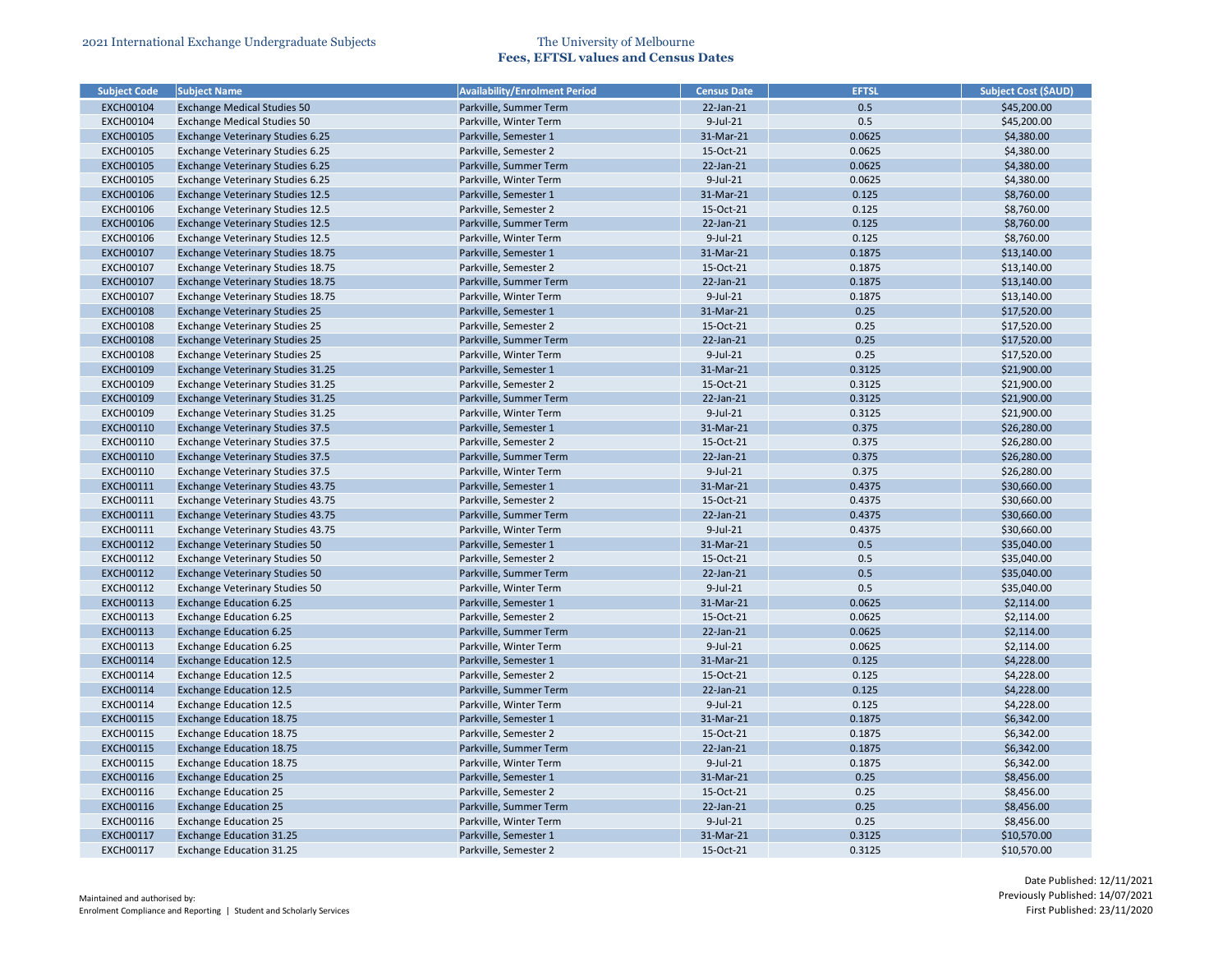| <b>Subject Code</b> | <b>Subject Name</b>                      | <b>Availability/Enrolment Period</b> | <b>Census Date</b> | <b>EFTSL</b> | <b>Subject Cost (\$AUD)</b> |
|---------------------|------------------------------------------|--------------------------------------|--------------------|--------------|-----------------------------|
| <b>EXCH00104</b>    | <b>Exchange Medical Studies 50</b>       | Parkville, Summer Term               | 22-Jan-21          | 0.5          | \$45,200.00                 |
| <b>EXCH00104</b>    | <b>Exchange Medical Studies 50</b>       | Parkville, Winter Term               | $9$ -Jul-21        | 0.5          | \$45,200.00                 |
| <b>EXCH00105</b>    | <b>Exchange Veterinary Studies 6.25</b>  | Parkville, Semester 1                | 31-Mar-21          | 0.0625       | \$4,380.00                  |
| <b>EXCH00105</b>    | Exchange Veterinary Studies 6.25         | Parkville, Semester 2                | 15-Oct-21          | 0.0625       | \$4,380.00                  |
| <b>EXCH00105</b>    | Exchange Veterinary Studies 6.25         | Parkville, Summer Term               | 22-Jan-21          | 0.0625       | \$4,380.00                  |
| <b>EXCH00105</b>    | <b>Exchange Veterinary Studies 6.25</b>  | Parkville, Winter Term               | 9-Jul-21           | 0.0625       | \$4,380.00                  |
| <b>EXCH00106</b>    | <b>Exchange Veterinary Studies 12.5</b>  | Parkville, Semester 1                | 31-Mar-21          | 0.125        | \$8,760.00                  |
| <b>EXCH00106</b>    | <b>Exchange Veterinary Studies 12.5</b>  | Parkville, Semester 2                | 15-Oct-21          | 0.125        | \$8,760.00                  |
| <b>EXCH00106</b>    | <b>Exchange Veterinary Studies 12.5</b>  | Parkville, Summer Term               | 22-Jan-21          | 0.125        | \$8,760.00                  |
| <b>EXCH00106</b>    | <b>Exchange Veterinary Studies 12.5</b>  | Parkville, Winter Term               | $9$ -Jul-21        | 0.125        | \$8,760.00                  |
| <b>EXCH00107</b>    | <b>Exchange Veterinary Studies 18.75</b> | Parkville, Semester 1                | 31-Mar-21          | 0.1875       | \$13,140.00                 |
| <b>EXCH00107</b>    | Exchange Veterinary Studies 18.75        | Parkville, Semester 2                | 15-Oct-21          | 0.1875       | \$13,140.00                 |
| <b>EXCH00107</b>    | Exchange Veterinary Studies 18.75        | Parkville, Summer Term               | 22-Jan-21          | 0.1875       | \$13,140.00                 |
| <b>EXCH00107</b>    | Exchange Veterinary Studies 18.75        | Parkville, Winter Term               | $9$ -Jul-21        | 0.1875       | \$13,140.00                 |
| <b>EXCH00108</b>    | <b>Exchange Veterinary Studies 25</b>    | Parkville, Semester 1                | 31-Mar-21          | 0.25         | \$17,520.00                 |
| <b>EXCH00108</b>    | <b>Exchange Veterinary Studies 25</b>    | Parkville, Semester 2                | 15-Oct-21          | 0.25         | \$17,520.00                 |
| <b>EXCH00108</b>    | <b>Exchange Veterinary Studies 25</b>    | Parkville, Summer Term               | 22-Jan-21          | 0.25         | \$17,520.00                 |
| <b>EXCH00108</b>    | <b>Exchange Veterinary Studies 25</b>    | Parkville, Winter Term               | $9$ -Jul-21        | 0.25         | \$17,520.00                 |
| <b>EXCH00109</b>    | Exchange Veterinary Studies 31.25        | Parkville, Semester 1                | 31-Mar-21          | 0.3125       | \$21,900.00                 |
| <b>EXCH00109</b>    | Exchange Veterinary Studies 31.25        | Parkville, Semester 2                | 15-Oct-21          | 0.3125       | \$21,900.00                 |
| <b>EXCH00109</b>    | Exchange Veterinary Studies 31.25        | Parkville, Summer Term               | 22-Jan-21          | 0.3125       | \$21,900.00                 |
| <b>EXCH00109</b>    | Exchange Veterinary Studies 31.25        | Parkville, Winter Term               | 9-Jul-21           | 0.3125       | \$21,900.00                 |
| <b>EXCH00110</b>    | <b>Exchange Veterinary Studies 37.5</b>  | Parkville, Semester 1                | 31-Mar-21          | 0.375        | \$26,280.00                 |
| EXCH00110           | <b>Exchange Veterinary Studies 37.5</b>  | Parkville, Semester 2                | 15-Oct-21          | 0.375        | \$26,280.00                 |
| <b>EXCH00110</b>    | <b>Exchange Veterinary Studies 37.5</b>  | Parkville, Summer Term               | 22-Jan-21          | 0.375        | \$26,280.00                 |
| <b>EXCH00110</b>    | <b>Exchange Veterinary Studies 37.5</b>  | Parkville, Winter Term               | $9$ -Jul-21        | 0.375        | \$26,280.00                 |
| <b>EXCH00111</b>    | Exchange Veterinary Studies 43.75        | Parkville, Semester 1                | 31-Mar-21          | 0.4375       | \$30,660.00                 |
| <b>EXCH00111</b>    | Exchange Veterinary Studies 43.75        | Parkville, Semester 2                | 15-Oct-21          | 0.4375       | \$30,660.00                 |
| <b>EXCH00111</b>    | Exchange Veterinary Studies 43.75        | Parkville, Summer Term               | 22-Jan-21          | 0.4375       | \$30,660.00                 |
| EXCH00111           | Exchange Veterinary Studies 43.75        | Parkville, Winter Term               | $9$ -Jul-21        | 0.4375       | \$30,660.00                 |
| EXCH00112           | Exchange Veterinary Studies 50           | Parkville, Semester 1                | 31-Mar-21          | 0.5          | \$35,040.00                 |
| EXCH00112           | <b>Exchange Veterinary Studies 50</b>    | Parkville, Semester 2                | 15-Oct-21          | 0.5          | \$35,040.00                 |
| <b>EXCH00112</b>    | <b>Exchange Veterinary Studies 50</b>    | Parkville, Summer Term               | 22-Jan-21          | 0.5          | \$35,040.00                 |
| <b>EXCH00112</b>    | <b>Exchange Veterinary Studies 50</b>    | Parkville, Winter Term               | $9$ -Jul-21        | 0.5          | \$35,040.00                 |
| <b>EXCH00113</b>    | <b>Exchange Education 6.25</b>           | Parkville, Semester 1                | 31-Mar-21          | 0.0625       | \$2,114.00                  |
| <b>EXCH00113</b>    | <b>Exchange Education 6.25</b>           | Parkville, Semester 2                | 15-Oct-21          | 0.0625       | \$2,114.00                  |
| <b>EXCH00113</b>    | <b>Exchange Education 6.25</b>           | Parkville, Summer Term               | 22-Jan-21          | 0.0625       | \$2,114.00                  |
| <b>EXCH00113</b>    | <b>Exchange Education 6.25</b>           | Parkville, Winter Term               | 9-Jul-21           | 0.0625       | \$2,114.00                  |
| <b>EXCH00114</b>    | <b>Exchange Education 12.5</b>           | Parkville, Semester 1                | 31-Mar-21          | 0.125        | \$4,228.00                  |
| EXCH00114           | <b>Exchange Education 12.5</b>           | Parkville, Semester 2                | 15-Oct-21          | 0.125        | \$4,228.00                  |
| <b>EXCH00114</b>    | <b>Exchange Education 12.5</b>           | Parkville, Summer Term               | 22-Jan-21          | 0.125        | \$4,228.00                  |
| EXCH00114           | <b>Exchange Education 12.5</b>           | Parkville, Winter Term               | $9$ -Jul-21        | 0.125        | \$4,228.00                  |
| <b>EXCH00115</b>    | <b>Exchange Education 18.75</b>          | Parkville, Semester 1                | 31-Mar-21          | 0.1875       | \$6,342.00                  |
| <b>EXCH00115</b>    | <b>Exchange Education 18.75</b>          | Parkville, Semester 2                | 15-Oct-21          | 0.1875       | \$6,342.00                  |
| <b>EXCH00115</b>    | <b>Exchange Education 18.75</b>          | Parkville, Summer Term               | $22$ -Jan- $21$    | 0.1875       | \$6,342.00                  |
| <b>EXCH00115</b>    | <b>Exchange Education 18.75</b>          | Parkville, Winter Term               | $9$ -Jul-21        | 0.1875       | \$6,342.00                  |
| <b>EXCH00116</b>    | <b>Exchange Education 25</b>             | Parkville, Semester 1                | 31-Mar-21          | 0.25         | \$8,456.00                  |
| <b>EXCH00116</b>    | <b>Exchange Education 25</b>             | Parkville, Semester 2                | 15-Oct-21          | 0.25         | \$8,456.00                  |
| <b>EXCH00116</b>    | <b>Exchange Education 25</b>             | Parkville, Summer Term               | $22$ -Jan- $21$    | 0.25         | \$8,456.00                  |
| <b>EXCH00116</b>    | <b>Exchange Education 25</b>             | Parkville, Winter Term               | $9$ -Jul-21        | 0.25         | \$8,456.00                  |
| EXCH00117           | <b>Exchange Education 31.25</b>          | Parkville, Semester 1                | 31-Mar-21          | 0.3125       | \$10,570.00                 |
| EXCH00117           |                                          | Parkville, Semester 2                | 15-Oct-21          | 0.3125       | \$10,570.00                 |
|                     | Exchange Education 31.25                 |                                      |                    |              |                             |

| <b>Subject Cost (\$AUD)</b> |
|-----------------------------|
| \$45,200.00                 |
| \$45,200.00                 |
| \$4,380.00                  |
| \$4,380.00                  |
| \$4,380.00                  |
| \$4,380.00                  |
| \$8,760.00                  |
| \$8,760.00                  |
| \$8,760.00                  |
| \$8,760.00                  |
| \$13,140.00                 |
| \$13,140.00                 |
| \$13,140.00                 |
| \$13,140.00                 |
| \$17,520.00                 |
| \$17,520.00                 |
| \$17,520.00                 |
| \$17,520.00                 |
| \$21,900.00                 |
| \$21,900.00                 |
| \$21,900.00                 |
| \$21,900.00                 |
| \$26,280.00                 |
| \$26,280.00                 |
| \$26,280.00                 |
| \$26,280.00                 |
| \$30,660.00                 |
| \$30,660.00                 |
| \$30,660.00                 |
| \$30,660.00                 |
| \$35,040.00                 |
| \$35,040.00                 |
| \$35,040.00                 |
| \$35,040.00                 |
| \$2,114.00                  |
| \$2,114.00                  |
| \$2,114.00                  |
| \$2,114.00                  |
| \$4,228.00                  |
| \$4,228.00                  |
| \$4,228.00                  |
| \$4,228.00                  |
| \$6,342.00                  |
| \$6,342.00                  |
| \$6,342.00                  |
| \$6,342.00                  |
| \$8,456.00                  |
| \$8,456.00                  |
| \$8,456.00                  |
| \$8,456.00                  |
| \$10,570.00                 |
| \$10,570.00                 |
|                             |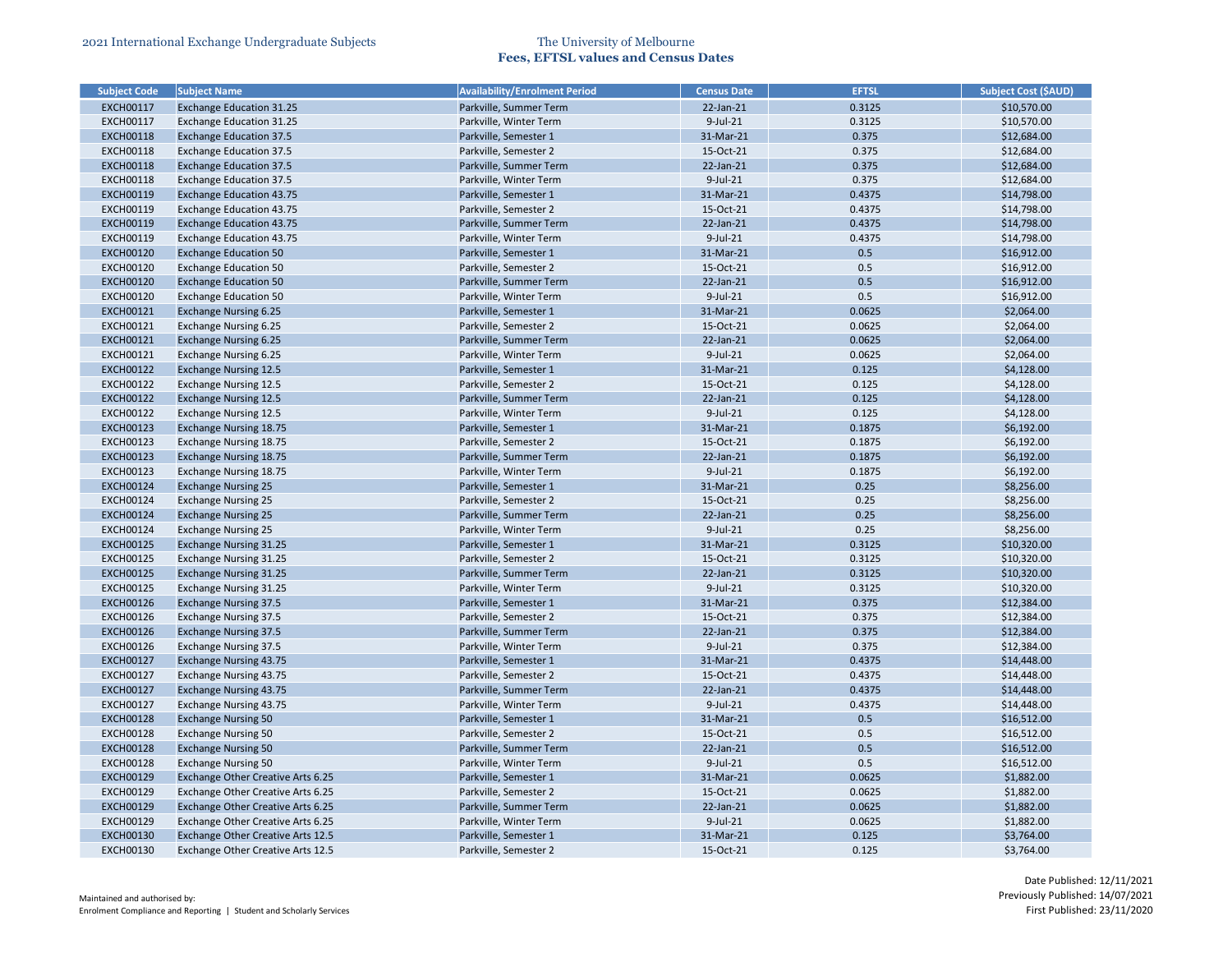| <b>Subject Code</b> | <b>Subject Name</b>                      | <b>Availability/Enrolment Period</b> | <b>Census Date</b> | <b>EFTSL</b> | <b>Subject Cost (\$AUD)</b> |
|---------------------|------------------------------------------|--------------------------------------|--------------------|--------------|-----------------------------|
| <b>EXCH00117</b>    | <b>Exchange Education 31.25</b>          | Parkville, Summer Term               | 22-Jan-21          | 0.3125       | \$10,570.00                 |
| <b>EXCH00117</b>    | <b>Exchange Education 31.25</b>          | Parkville, Winter Term               | $9$ -Jul-21        | 0.3125       | \$10,570.00                 |
| <b>EXCH00118</b>    | <b>Exchange Education 37.5</b>           | Parkville, Semester 1                | 31-Mar-21          | 0.375        | \$12,684.00                 |
| <b>EXCH00118</b>    | <b>Exchange Education 37.5</b>           | Parkville, Semester 2                | 15-Oct-21          | 0.375        | \$12,684.00                 |
| <b>EXCH00118</b>    | <b>Exchange Education 37.5</b>           | Parkville, Summer Term               | 22-Jan-21          | 0.375        | \$12,684.00                 |
| <b>EXCH00118</b>    | <b>Exchange Education 37.5</b>           | Parkville, Winter Term               | 9-Jul-21           | 0.375        | \$12,684.00                 |
| <b>EXCH00119</b>    | <b>Exchange Education 43.75</b>          | Parkville, Semester 1                | 31-Mar-21          | 0.4375       | \$14,798.00                 |
| <b>EXCH00119</b>    | <b>Exchange Education 43.75</b>          | Parkville, Semester 2                | 15-Oct-21          | 0.4375       | \$14,798.00                 |
| <b>EXCH00119</b>    | <b>Exchange Education 43.75</b>          | Parkville, Summer Term               | 22-Jan-21          | 0.4375       | \$14,798.00                 |
| <b>EXCH00119</b>    | <b>Exchange Education 43.75</b>          | Parkville, Winter Term               | $9$ -Jul-21        | 0.4375       | \$14,798.00                 |
| <b>EXCH00120</b>    | <b>Exchange Education 50</b>             | Parkville, Semester 1                | 31-Mar-21          | 0.5          | \$16,912.00                 |
| <b>EXCH00120</b>    | <b>Exchange Education 50</b>             | Parkville, Semester 2                | 15-Oct-21          | 0.5          | \$16,912.00                 |
| <b>EXCH00120</b>    | <b>Exchange Education 50</b>             | Parkville, Summer Term               | 22-Jan-21          | 0.5          | \$16,912.00                 |
| <b>EXCH00120</b>    | <b>Exchange Education 50</b>             | Parkville, Winter Term               | $9$ -Jul-21        | 0.5          | \$16,912.00                 |
| <b>EXCH00121</b>    | <b>Exchange Nursing 6.25</b>             | Parkville, Semester 1                | 31-Mar-21          | 0.0625       | \$2,064.00                  |
| <b>EXCH00121</b>    | <b>Exchange Nursing 6.25</b>             | Parkville, Semester 2                | 15-Oct-21          | 0.0625       | \$2,064.00                  |
| <b>EXCH00121</b>    | <b>Exchange Nursing 6.25</b>             | Parkville, Summer Term               | 22-Jan-21          | 0.0625       | \$2,064.00                  |
| <b>EXCH00121</b>    | <b>Exchange Nursing 6.25</b>             | Parkville, Winter Term               | 9-Jul-21           | 0.0625       | \$2,064.00                  |
| <b>EXCH00122</b>    | <b>Exchange Nursing 12.5</b>             | Parkville, Semester 1                | 31-Mar-21          | 0.125        | \$4,128.00                  |
| <b>EXCH00122</b>    | <b>Exchange Nursing 12.5</b>             | Parkville, Semester 2                | 15-Oct-21          | 0.125        | \$4,128.00                  |
| <b>EXCH00122</b>    | <b>Exchange Nursing 12.5</b>             | Parkville, Summer Term               | 22-Jan-21          | 0.125        | \$4,128.00                  |
| <b>EXCH00122</b>    | <b>Exchange Nursing 12.5</b>             | Parkville, Winter Term               | 9-Jul-21           | 0.125        | \$4,128.00                  |
| <b>EXCH00123</b>    | <b>Exchange Nursing 18.75</b>            | Parkville, Semester 1                | 31-Mar-21          | 0.1875       | \$6,192.00                  |
| <b>EXCH00123</b>    | Exchange Nursing 18.75                   | Parkville, Semester 2                | 15-Oct-21          | 0.1875       | \$6,192.00                  |
| <b>EXCH00123</b>    | <b>Exchange Nursing 18.75</b>            | Parkville, Summer Term               | 22-Jan-21          | 0.1875       | \$6,192.00                  |
| <b>EXCH00123</b>    | <b>Exchange Nursing 18.75</b>            | Parkville, Winter Term               | $9$ -Jul-21        | 0.1875       | \$6,192.00                  |
| <b>EXCH00124</b>    | <b>Exchange Nursing 25</b>               | Parkville, Semester 1                | 31-Mar-21          | 0.25         | \$8,256.00                  |
| <b>EXCH00124</b>    | <b>Exchange Nursing 25</b>               | Parkville, Semester 2                | 15-Oct-21          | 0.25         | \$8,256.00                  |
| <b>EXCH00124</b>    | <b>Exchange Nursing 25</b>               | Parkville, Summer Term               | 22-Jan-21          | 0.25         | \$8,256.00                  |
| <b>EXCH00124</b>    | <b>Exchange Nursing 25</b>               | Parkville, Winter Term               | 9-Jul-21           | 0.25         | \$8,256.00                  |
| <b>EXCH00125</b>    | <b>Exchange Nursing 31.25</b>            | Parkville, Semester 1                | 31-Mar-21          | 0.3125       | \$10,320.00                 |
| <b>EXCH00125</b>    | Exchange Nursing 31.25                   | Parkville, Semester 2                | 15-Oct-21          | 0.3125       | \$10,320.00                 |
| <b>EXCH00125</b>    | <b>Exchange Nursing 31.25</b>            | Parkville, Summer Term               | 22-Jan-21          | 0.3125       | \$10,320.00                 |
| <b>EXCH00125</b>    | <b>Exchange Nursing 31.25</b>            | Parkville, Winter Term               | $9$ -Jul-21        | 0.3125       | \$10,320.00                 |
| <b>EXCH00126</b>    | <b>Exchange Nursing 37.5</b>             | Parkville, Semester 1                | 31-Mar-21          | 0.375        | \$12,384.00                 |
| <b>EXCH00126</b>    | <b>Exchange Nursing 37.5</b>             | Parkville, Semester 2                | 15-Oct-21          | 0.375        | \$12,384.00                 |
| <b>EXCH00126</b>    | <b>Exchange Nursing 37.5</b>             | Parkville, Summer Term               | 22-Jan-21          | 0.375        | \$12,384.00                 |
| <b>EXCH00126</b>    | <b>Exchange Nursing 37.5</b>             | Parkville, Winter Term               | $9$ -Jul-21        | 0.375        | \$12,384.00                 |
| <b>EXCH00127</b>    | <b>Exchange Nursing 43.75</b>            | Parkville, Semester 1                | 31-Mar-21          | 0.4375       | \$14,448.00                 |
| <b>EXCH00127</b>    | Exchange Nursing 43.75                   | Parkville, Semester 2                | 15-Oct-21          | 0.4375       | \$14,448.00                 |
| <b>EXCH00127</b>    | <b>Exchange Nursing 43.75</b>            | Parkville, Summer Term               | 22-Jan-21          | 0.4375       | \$14,448.00                 |
| <b>EXCH00127</b>    | Exchange Nursing 43.75                   | Parkville, Winter Term               | 9-Jul-21           | 0.4375       | \$14,448.00                 |
| <b>EXCH00128</b>    | <b>Exchange Nursing 50</b>               | Parkville, Semester 1                | 31-Mar-21          | 0.5          | \$16,512.00                 |
| <b>EXCH00128</b>    | <b>Exchange Nursing 50</b>               | Parkville, Semester 2                | 15-Oct-21          | 0.5          | \$16,512.00                 |
| <b>EXCH00128</b>    | <b>Exchange Nursing 50</b>               | Parkville, Summer Term               | 22-Jan-21          | 0.5          | \$16,512.00                 |
| <b>EXCH00128</b>    | <b>Exchange Nursing 50</b>               | Parkville, Winter Term               | $9$ -Jul-21        | 0.5          | \$16,512.00                 |
| <b>EXCH00129</b>    | <b>Exchange Other Creative Arts 6.25</b> | Parkville, Semester 1                | 31-Mar-21          | 0.0625       | \$1,882.00                  |
| <b>EXCH00129</b>    | Exchange Other Creative Arts 6.25        | Parkville, Semester 2                | 15-Oct-21          | 0.0625       | \$1,882.00                  |
| <b>EXCH00129</b>    | Exchange Other Creative Arts 6.25        | Parkville, Summer Term               | 22-Jan-21          | 0.0625       | \$1,882.00                  |
| <b>EXCH00129</b>    | Exchange Other Creative Arts 6.25        | Parkville, Winter Term               | $9$ -Jul-21        | 0.0625       | \$1,882.00                  |
| <b>EXCH00130</b>    | Exchange Other Creative Arts 12.5        | Parkville, Semester 1                | 31-Mar-21          | 0.125        | \$3,764.00                  |
|                     |                                          |                                      |                    |              |                             |
| <b>EXCH00130</b>    | Exchange Other Creative Arts 12.5        | Parkville, Semester 2                | 15-Oct-21          | 0.125        | \$3,764.00                  |

| <b>Subject Cost (\$AUD)</b> |
|-----------------------------|
| \$10,570.00                 |
| \$10,570.00                 |
| \$12,684.00                 |
| \$12,684.00                 |
| \$12,684.00                 |
| \$12,684.00                 |
| \$14,798.00                 |
| \$14,798.00                 |
| \$14,798.00                 |
| \$14,798.00                 |
| \$16,912.00                 |
| \$16,912.00                 |
| \$16,912.00                 |
| \$16,912.00                 |
| \$2,064.00                  |
| \$2,064.00                  |
| \$2,064.00                  |
| \$2,064.00                  |
| \$4,128.00                  |
| \$4,128.00                  |
| \$4,128.00                  |
| \$4,128.00                  |
| \$6,192.00                  |
| \$6,192.00                  |
| \$6,192.00                  |
| \$6,192.00                  |
| \$8,256.00                  |
| \$8,256.00                  |
| \$8,256.00                  |
| \$8,256.00                  |
| \$10,320.00                 |
| \$10,320.00                 |
| \$10,320.00                 |
| \$10,320.00                 |
| \$12,384.00                 |
| \$12,384.00                 |
| \$12,384.00                 |
| \$12,384.00                 |
| \$14,448.00                 |
| \$14,448.00                 |
| \$14,448.00                 |
| \$14,448.00                 |
| \$16,512.00                 |
| \$16,512.00                 |
| \$16,512.00                 |
| \$16,512.00                 |
| \$1,882.00                  |
| \$1,882.00                  |
| \$1,882.00                  |
| \$1,882.00                  |
| \$3,764.00                  |
| \$3,764.00                  |
|                             |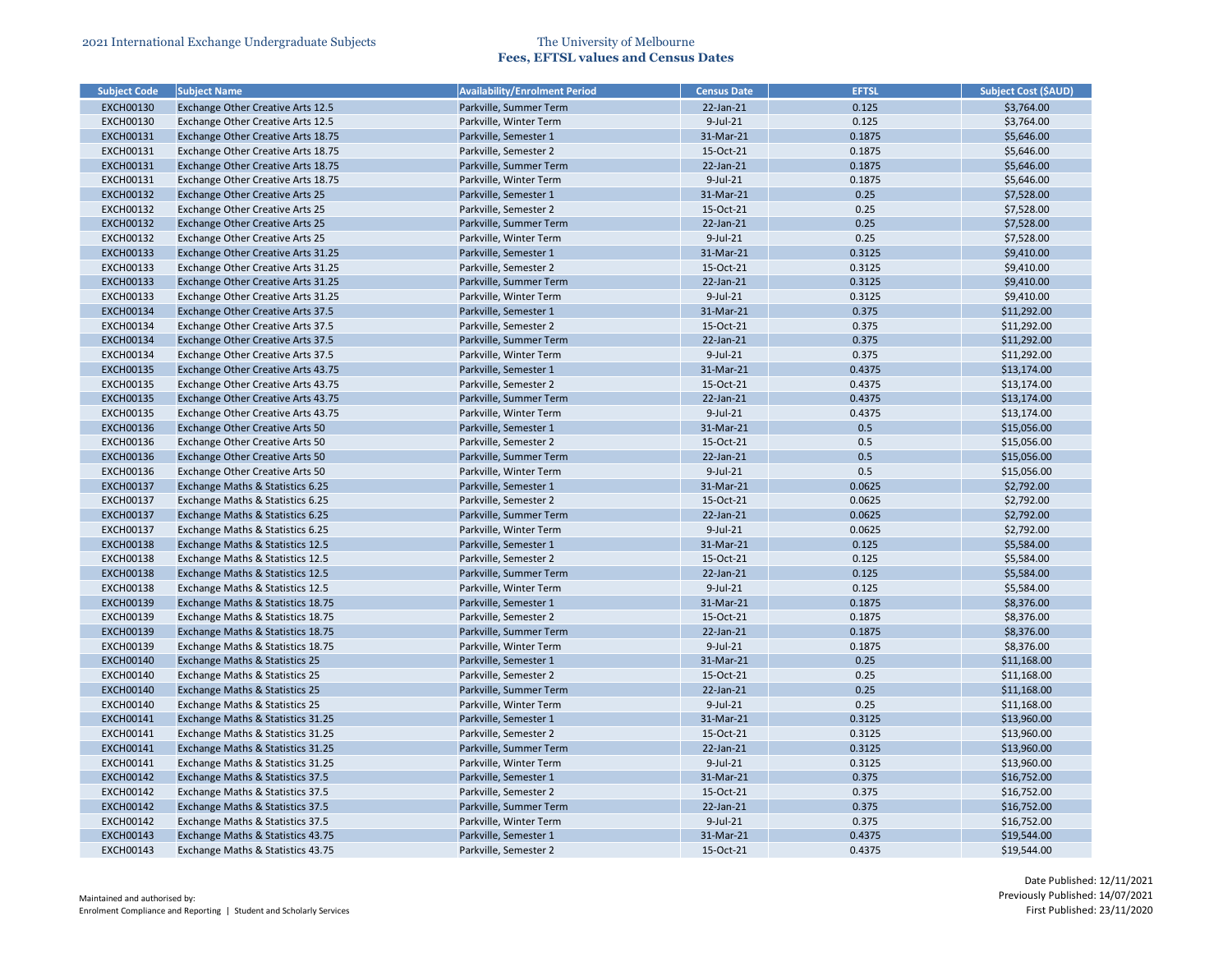| <b>Subject Code</b>                  | <b>Subject Name</b>                       | <b>Availability/Enrolment Period</b> | <b>Census Date</b> | <b>EFTSL</b>     | <b>Subject Cost (\$AUD)</b> |
|--------------------------------------|-------------------------------------------|--------------------------------------|--------------------|------------------|-----------------------------|
| <b>EXCH00130</b>                     | <b>Exchange Other Creative Arts 12.5</b>  | Parkville, Summer Term               | $22$ -Jan- $21$    | 0.125            | \$3,764.00                  |
| <b>EXCH00130</b>                     | Exchange Other Creative Arts 12.5         | Parkville, Winter Term               | 9-Jul-21           | 0.125            | \$3,764.00                  |
| <b>EXCH00131</b>                     | Exchange Other Creative Arts 18.75        | Parkville, Semester 1                | 31-Mar-21          | 0.1875           | \$5,646.00                  |
| <b>EXCH00131</b>                     | Exchange Other Creative Arts 18.75        | Parkville, Semester 2                | 15-Oct-21          | 0.1875           | \$5,646.00                  |
| <b>EXCH00131</b>                     | Exchange Other Creative Arts 18.75        | Parkville, Summer Term               | $22$ -Jan- $21$    | 0.1875           | \$5,646.00                  |
| <b>EXCH00131</b>                     | Exchange Other Creative Arts 18.75        | Parkville, Winter Term               | 9-Jul-21           | 0.1875           | \$5,646.00                  |
| <b>EXCH00132</b>                     | <b>Exchange Other Creative Arts 25</b>    | Parkville, Semester 1                | 31-Mar-21          | 0.25             | \$7,528.00                  |
| <b>EXCH00132</b>                     | <b>Exchange Other Creative Arts 25</b>    | Parkville, Semester 2                | 15-Oct-21          | 0.25             | \$7,528.00                  |
| <b>EXCH00132</b>                     | <b>Exchange Other Creative Arts 25</b>    | Parkville, Summer Term               | 22-Jan-21          | 0.25             | \$7,528.00                  |
| <b>EXCH00132</b>                     | Exchange Other Creative Arts 25           | Parkville, Winter Term               | $9$ -Jul-21        | 0.25             | \$7,528.00                  |
| <b>EXCH00133</b>                     | Exchange Other Creative Arts 31.25        | Parkville, Semester 1                | 31-Mar-21          | 0.3125           | \$9,410.00                  |
| <b>EXCH00133</b>                     | Exchange Other Creative Arts 31.25        | Parkville, Semester 2                | 15-Oct-21          | 0.3125           | \$9,410.00                  |
| <b>EXCH00133</b>                     | Exchange Other Creative Arts 31.25        | Parkville, Summer Term               | 22-Jan-21          | 0.3125           | \$9,410.00                  |
| <b>EXCH00133</b>                     | Exchange Other Creative Arts 31.25        | Parkville, Winter Term               | $9$ -Jul-21        | 0.3125           | \$9,410.00                  |
| <b>EXCH00134</b>                     | Exchange Other Creative Arts 37.5         | Parkville, Semester 1                | 31-Mar-21          | 0.375            | \$11,292.00                 |
| <b>EXCH00134</b>                     | Exchange Other Creative Arts 37.5         | Parkville, Semester 2                | 15-Oct-21          | 0.375            | \$11,292.00                 |
| <b>EXCH00134</b>                     | Exchange Other Creative Arts 37.5         | Parkville, Summer Term               | 22-Jan-21          | 0.375            | \$11,292.00                 |
| <b>EXCH00134</b>                     | Exchange Other Creative Arts 37.5         | Parkville, Winter Term               | $9$ -Jul-21        | 0.375            | \$11,292.00                 |
| <b>EXCH00135</b>                     | Exchange Other Creative Arts 43.75        | Parkville, Semester 1                | 31-Mar-21          | 0.4375           | \$13,174.00                 |
| <b>EXCH00135</b>                     | Exchange Other Creative Arts 43.75        | Parkville, Semester 2                | 15-Oct-21          | 0.4375           | \$13,174.00                 |
| <b>EXCH00135</b>                     | Exchange Other Creative Arts 43.75        | Parkville, Summer Term               | 22-Jan-21          | 0.4375           | \$13,174.00                 |
| <b>EXCH00135</b>                     | Exchange Other Creative Arts 43.75        | Parkville, Winter Term               | 9-Jul-21           | 0.4375           | \$13,174.00                 |
| <b>EXCH00136</b>                     | <b>Exchange Other Creative Arts 50</b>    | Parkville, Semester 1                | 31-Mar-21          | 0.5              | \$15,056.00                 |
| <b>EXCH00136</b>                     | Exchange Other Creative Arts 50           | Parkville, Semester 2                | 15-Oct-21          | 0.5              | \$15,056.00                 |
| <b>EXCH00136</b>                     | <b>Exchange Other Creative Arts 50</b>    | Parkville, Summer Term               | 22-Jan-21          | 0.5              | \$15,056.00                 |
| <b>EXCH00136</b>                     | Exchange Other Creative Arts 50           | Parkville, Winter Term               | 9-Jul-21           | 0.5              | \$15,056.00                 |
| <b>EXCH00137</b>                     |                                           |                                      | 31-Mar-21          | 0.0625           | \$2,792.00                  |
|                                      | Exchange Maths & Statistics 6.25          | Parkville, Semester 1                |                    |                  |                             |
| <b>EXCH00137</b>                     | Exchange Maths & Statistics 6.25          | Parkville, Semester 2                | 15-Oct-21          | 0.0625<br>0.0625 | \$2,792.00                  |
| <b>EXCH00137</b><br><b>EXCH00137</b> | Exchange Maths & Statistics 6.25          | Parkville, Summer Term               | 22-Jan-21          |                  | \$2,792.00                  |
|                                      | Exchange Maths & Statistics 6.25          | Parkville, Winter Term               | 9-Jul-21           | 0.0625           | \$2,792.00<br>\$5,584.00    |
| <b>EXCH00138</b>                     | Exchange Maths & Statistics 12.5          | Parkville, Semester 1                | 31-Mar-21          | 0.125            |                             |
| <b>EXCH00138</b>                     | Exchange Maths & Statistics 12.5          | Parkville, Semester 2                | 15-Oct-21          | 0.125            | \$5,584.00                  |
| <b>EXCH00138</b>                     | Exchange Maths & Statistics 12.5          | Parkville, Summer Term               | 22-Jan-21          | 0.125            | \$5,584.00                  |
| <b>EXCH00138</b>                     | Exchange Maths & Statistics 12.5          | Parkville, Winter Term               | $9$ -Jul-21        | 0.125            | \$5,584.00                  |
| <b>EXCH00139</b>                     | Exchange Maths & Statistics 18.75         | Parkville, Semester 1                | 31-Mar-21          | 0.1875           | \$8,376.00                  |
| <b>EXCH00139</b>                     | Exchange Maths & Statistics 18.75         | Parkville, Semester 2                | 15-Oct-21          | 0.1875           | \$8,376.00                  |
| <b>EXCH00139</b>                     | Exchange Maths & Statistics 18.75         | Parkville, Summer Term               | 22-Jan-21          | 0.1875           | \$8,376.00                  |
| <b>EXCH00139</b>                     | Exchange Maths & Statistics 18.75         | Parkville, Winter Term               | $9$ -Jul-21        | 0.1875           | \$8,376.00                  |
| <b>EXCH00140</b>                     | <b>Exchange Maths &amp; Statistics 25</b> | Parkville, Semester 1                | 31-Mar-21          | 0.25             | \$11,168.00                 |
| <b>EXCH00140</b>                     | Exchange Maths & Statistics 25            | Parkville, Semester 2                | 15-Oct-21          | 0.25             | \$11,168.00                 |
| <b>EXCH00140</b>                     | <b>Exchange Maths &amp; Statistics 25</b> | Parkville, Summer Term               | 22-Jan-21          | 0.25             | \$11,168.00                 |
| <b>EXCH00140</b>                     | Exchange Maths & Statistics 25            | Parkville, Winter Term               | 9-Jul-21           | 0.25             | \$11,168.00                 |
| <b>EXCH00141</b>                     | Exchange Maths & Statistics 31.25         | Parkville, Semester 1                | 31-Mar-21          | 0.3125           | \$13,960.00                 |
| <b>EXCH00141</b>                     | Exchange Maths & Statistics 31.25         | Parkville, Semester 2                | 15-Oct-21          | 0.3125           | \$13,960.00                 |
| <b>EXCH00141</b>                     | Exchange Maths & Statistics 31.25         | Parkville, Summer Term               | 22-Jan-21          | 0.3125           | \$13,960.00                 |
| <b>EXCH00141</b>                     | Exchange Maths & Statistics 31.25         | Parkville, Winter Term               | 9-Jul-21           | 0.3125           | \$13,960.00                 |
| <b>EXCH00142</b>                     | Exchange Maths & Statistics 37.5          | Parkville, Semester 1                | 31-Mar-21          | 0.375            | \$16,752.00                 |
| <b>EXCH00142</b>                     | Exchange Maths & Statistics 37.5          | Parkville, Semester 2                | 15-Oct-21          | 0.375            | \$16,752.00                 |
| <b>EXCH00142</b>                     | Exchange Maths & Statistics 37.5          | Parkville, Summer Term               | $22$ -Jan- $21$    | 0.375            | \$16,752.00                 |
| <b>EXCH00142</b>                     | Exchange Maths & Statistics 37.5          | Parkville, Winter Term               | 9-Jul-21           | 0.375            | \$16,752.00                 |
| <b>EXCH00143</b>                     | Exchange Maths & Statistics 43.75         | Parkville, Semester 1                | 31-Mar-21          | 0.4375           | \$19,544.00                 |
| <b>EXCH00143</b>                     | Exchange Maths & Statistics 43.75         | Parkville, Semester 2                | 15-Oct-21          | 0.4375           | \$19,544.00                 |

| <b>Subject Cost (\$AUD)</b> |
|-----------------------------|
| \$3,764.00                  |
| \$3,764.00                  |
| \$5,646.00                  |
| \$5,646.00                  |
| \$5,646.00                  |
| \$5,646.00                  |
| \$7,528.00                  |
| \$7,528.00                  |
| \$7,528.00                  |
| \$7,528.00                  |
| \$9,410.00                  |
| \$9,410.00                  |
| \$9,410.00                  |
| \$9,410.00                  |
| \$11,292.00                 |
| \$11,292.00                 |
| \$11,292.00                 |
| \$11,292.00                 |
| \$13,174.00                 |
| \$13,174.00                 |
| \$13,174.00                 |
| \$13,174.00                 |
| \$15,056.00                 |
| \$15,056.00                 |
| \$15,056.00                 |
| \$15,056.00                 |
| \$2,792.00                  |
| \$2,792.00                  |
| \$2,792.00                  |
| \$2,792.00                  |
| \$5,584.00                  |
| \$5,584.00                  |
| \$5,584.00                  |
| \$5,584.00                  |
| \$8,376.00                  |
| \$8,376.00                  |
| \$8,376.00                  |
| \$8,376.00                  |
| \$11,168.00                 |
| \$11,168.00                 |
| \$11,168.00                 |
| \$11,168.00                 |
| \$13,960.00                 |
| \$13,960.00                 |
| \$13,960.00                 |
| \$13,960.00                 |
| \$16,752.00                 |
|                             |
| \$16,752.00                 |
| \$16,752.00                 |
| \$16,752.00                 |
| \$19,544.00                 |
| \$19,544.00                 |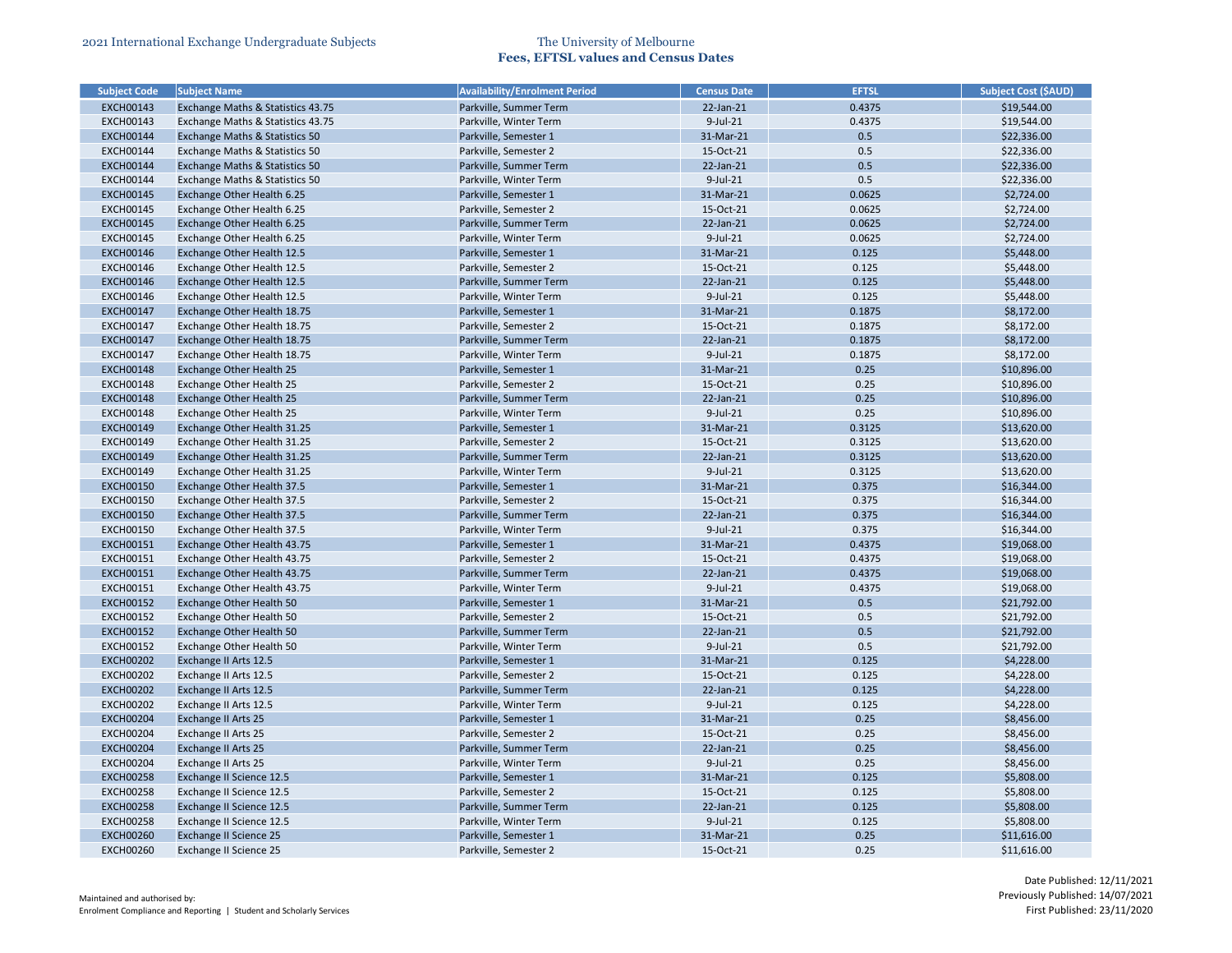| <b>Subject Code</b> | <b>Subject Name</b>                       | <b>Availability/Enrolment Period</b> | <b>Census Date</b> | <b>EFTSL</b> | <b>Subject Cost (\$AUD)</b> |
|---------------------|-------------------------------------------|--------------------------------------|--------------------|--------------|-----------------------------|
| <b>EXCH00143</b>    | Exchange Maths & Statistics 43.75         | Parkville, Summer Term               | $22$ -Jan- $21$    | 0.4375       | \$19,544.00                 |
| <b>EXCH00143</b>    | Exchange Maths & Statistics 43.75         | Parkville, Winter Term               | $9$ -Jul-21        | 0.4375       | \$19,544.00                 |
| <b>EXCH00144</b>    | <b>Exchange Maths &amp; Statistics 50</b> | Parkville, Semester 1                | 31-Mar-21          | 0.5          | \$22,336.00                 |
| <b>EXCH00144</b>    | Exchange Maths & Statistics 50            | Parkville, Semester 2                | 15-Oct-21          | 0.5          | \$22,336.00                 |
| <b>EXCH00144</b>    | <b>Exchange Maths &amp; Statistics 50</b> | Parkville, Summer Term               | 22-Jan-21          | 0.5          | \$22,336.00                 |
| <b>EXCH00144</b>    | Exchange Maths & Statistics 50            | Parkville, Winter Term               | 9-Jul-21           | 0.5          | \$22,336.00                 |
| <b>EXCH00145</b>    | Exchange Other Health 6.25                | Parkville, Semester 1                | 31-Mar-21          | 0.0625       | \$2,724.00                  |
| <b>EXCH00145</b>    | Exchange Other Health 6.25                | Parkville, Semester 2                | 15-Oct-21          | 0.0625       | \$2,724.00                  |
| <b>EXCH00145</b>    | Exchange Other Health 6.25                | Parkville, Summer Term               | 22-Jan-21          | 0.0625       | \$2,724.00                  |
| <b>EXCH00145</b>    | Exchange Other Health 6.25                | Parkville, Winter Term               | $9$ -Jul-21        | 0.0625       | \$2,724.00                  |
| <b>EXCH00146</b>    | Exchange Other Health 12.5                | Parkville, Semester 1                | 31-Mar-21          | 0.125        | \$5,448.00                  |
| <b>EXCH00146</b>    | Exchange Other Health 12.5                | Parkville, Semester 2                | 15-Oct-21          | 0.125        | \$5,448.00                  |
| <b>EXCH00146</b>    | Exchange Other Health 12.5                | Parkville, Summer Term               | 22-Jan-21          | 0.125        | \$5,448.00                  |
| <b>EXCH00146</b>    | Exchange Other Health 12.5                | Parkville, Winter Term               | 9-Jul-21           | 0.125        | \$5,448.00                  |
| <b>EXCH00147</b>    | Exchange Other Health 18.75               | Parkville, Semester 1                | 31-Mar-21          | 0.1875       | \$8,172.00                  |
| <b>EXCH00147</b>    | Exchange Other Health 18.75               | Parkville, Semester 2                | 15-Oct-21          | 0.1875       | \$8,172.00                  |
| <b>EXCH00147</b>    | Exchange Other Health 18.75               | Parkville, Summer Term               | 22-Jan-21          | 0.1875       | \$8,172.00                  |
| <b>EXCH00147</b>    | Exchange Other Health 18.75               | Parkville, Winter Term               | $9$ -Jul-21        | 0.1875       | \$8,172.00                  |
| <b>EXCH00148</b>    | <b>Exchange Other Health 25</b>           | Parkville, Semester 1                | 31-Mar-21          | 0.25         | \$10,896.00                 |
| <b>EXCH00148</b>    | Exchange Other Health 25                  | Parkville, Semester 2                | 15-Oct-21          | 0.25         | \$10,896.00                 |
| <b>EXCH00148</b>    | <b>Exchange Other Health 25</b>           | Parkville, Summer Term               | $22$ -Jan- $21$    | 0.25         | \$10,896.00                 |
| <b>EXCH00148</b>    | Exchange Other Health 25                  | Parkville, Winter Term               | 9-Jul-21           | 0.25         | \$10,896.00                 |
| <b>EXCH00149</b>    | Exchange Other Health 31.25               | Parkville, Semester 1                | 31-Mar-21          | 0.3125       | \$13,620.00                 |
| <b>EXCH00149</b>    | Exchange Other Health 31.25               | Parkville, Semester 2                | 15-Oct-21          | 0.3125       | \$13,620.00                 |
| <b>EXCH00149</b>    | Exchange Other Health 31.25               | Parkville, Summer Term               | 22-Jan-21          | 0.3125       | \$13,620.00                 |
| <b>EXCH00149</b>    | Exchange Other Health 31.25               | Parkville, Winter Term               | $9$ -Jul-21        | 0.3125       | \$13,620.00                 |
| <b>EXCH00150</b>    | Exchange Other Health 37.5                | Parkville, Semester 1                | 31-Mar-21          | 0.375        | \$16,344.00                 |
| <b>EXCH00150</b>    | Exchange Other Health 37.5                | Parkville, Semester 2                | 15-Oct-21          | 0.375        | \$16,344.00                 |
| <b>EXCH00150</b>    | Exchange Other Health 37.5                | Parkville, Summer Term               | 22-Jan-21          | 0.375        | \$16,344.00                 |
| <b>EXCH00150</b>    | Exchange Other Health 37.5                | Parkville, Winter Term               | $9$ -Jul-21        | 0.375        | \$16,344.00                 |
| <b>EXCH00151</b>    | Exchange Other Health 43.75               | Parkville, Semester 1                | 31-Mar-21          | 0.4375       | \$19,068.00                 |
| <b>EXCH00151</b>    | Exchange Other Health 43.75               | Parkville, Semester 2                | 15-Oct-21          | 0.4375       | \$19,068.00                 |
| <b>EXCH00151</b>    | Exchange Other Health 43.75               | Parkville, Summer Term               | $22$ -Jan- $21$    | 0.4375       | \$19,068.00                 |
| <b>EXCH00151</b>    | Exchange Other Health 43.75               | Parkville, Winter Term               | $9$ -Jul-21        | 0.4375       | \$19,068.00                 |
| <b>EXCH00152</b>    | <b>Exchange Other Health 50</b>           | Parkville, Semester 1                | 31-Mar-21          | 0.5          | \$21,792.00                 |
| <b>EXCH00152</b>    | Exchange Other Health 50                  | Parkville, Semester 2                | 15-Oct-21          | 0.5          | \$21,792.00                 |
| <b>EXCH00152</b>    | <b>Exchange Other Health 50</b>           | Parkville, Summer Term               | $22$ -Jan- $21$    | 0.5          | \$21,792.00                 |
| <b>EXCH00152</b>    | Exchange Other Health 50                  | Parkville, Winter Term               | 9-Jul-21           | 0.5          | \$21,792.00                 |
| <b>EXCH00202</b>    | Exchange II Arts 12.5                     | Parkville, Semester 1                | 31-Mar-21          | 0.125        | \$4,228.00                  |
| <b>EXCH00202</b>    | Exchange II Arts 12.5                     | Parkville, Semester 2                | 15-Oct-21          | 0.125        | \$4,228.00                  |
| <b>EXCH00202</b>    | Exchange II Arts 12.5                     | Parkville, Summer Term               | $22$ -Jan- $21$    | 0.125        | \$4,228.00                  |
| <b>EXCH00202</b>    | Exchange II Arts 12.5                     | Parkville, Winter Term               | 9-Jul-21           | 0.125        | \$4,228.00                  |
| <b>EXCH00204</b>    | <b>Exchange II Arts 25</b>                | Parkville, Semester 1                | 31-Mar-21          | 0.25         | \$8,456.00                  |
| <b>EXCH00204</b>    | Exchange II Arts 25                       | Parkville, Semester 2                | 15-Oct-21          | 0.25         | \$8,456.00                  |
| <b>EXCH00204</b>    |                                           | Parkville, Summer Term               | $22$ -Jan- $21$    | 0.25         | \$8,456.00                  |
|                     | <b>Exchange II Arts 25</b>                | Parkville, Winter Term               | $9$ -Jul-21        | 0.25         |                             |
| <b>EXCH00204</b>    | Exchange II Arts 25                       |                                      |                    |              | \$8,456.00                  |
| <b>EXCH00258</b>    | Exchange II Science 12.5                  | Parkville, Semester 1                | 31-Mar-21          | 0.125        | \$5,808.00                  |
| <b>EXCH00258</b>    | Exchange II Science 12.5                  | Parkville, Semester 2                | 15-Oct-21          | 0.125        | \$5,808.00                  |
| <b>EXCH00258</b>    | <b>Exchange II Science 12.5</b>           | Parkville, Summer Term               | $22$ -Jan- $21$    | 0.125        | \$5,808.00                  |
| <b>EXCH00258</b>    | Exchange II Science 12.5                  | Parkville, Winter Term               | $9$ -Jul-21        | 0.125        | \$5,808.00                  |
| <b>EXCH00260</b>    | <b>Exchange II Science 25</b>             | Parkville, Semester 1                | 31-Mar-21          | 0.25         | \$11,616.00                 |
| <b>EXCH00260</b>    | Exchange II Science 25                    | Parkville, Semester 2                | 15-Oct-21          | 0.25         | \$11,616.00                 |

| <b>Subject Cost (\$AUD)</b> |
|-----------------------------|
| \$19,544.00                 |
| \$19,544.00                 |
| \$22,336.00                 |
| \$22,336.00                 |
| \$22,336.00                 |
| \$22,336.00                 |
| \$2,724.00                  |
| \$2,724.00                  |
| \$2,724.00                  |
| \$2,724.00                  |
| \$5,448.00                  |
| \$5,448.00                  |
| \$5,448.00                  |
| \$5,448.00                  |
| \$8,172.00                  |
| \$8,172.00                  |
| \$8,172.00                  |
| \$8,172.00                  |
| \$10,896.00                 |
| \$10,896.00                 |
| \$10,896.00                 |
| \$10,896.00                 |
| \$13,620.00                 |
| \$13,620.00                 |
| \$13,620.00                 |
| \$13,620.00                 |
| \$16,344.00                 |
| \$16,344.00                 |
| \$16,344.00                 |
| \$16,344.00                 |
| \$19,068.00                 |
| \$19,068.00                 |
| \$19,068.00                 |
| \$19,068.00                 |
| \$21,792.00                 |
| \$21,792.00                 |
| \$21,792.00                 |
| \$21,792.00                 |
| \$4,228.00                  |
| \$4,228.00                  |
| \$4,228.00                  |
| \$4,228.00                  |
| \$8,456.00                  |
| \$8,456.00                  |
| \$8,456.00                  |
| \$8,456.00                  |
| \$5,808.00                  |
|                             |
| \$5,808.00                  |
| \$5,808.00                  |
| \$5,808.00                  |
| \$11,616.00                 |
| \$11,616.00                 |